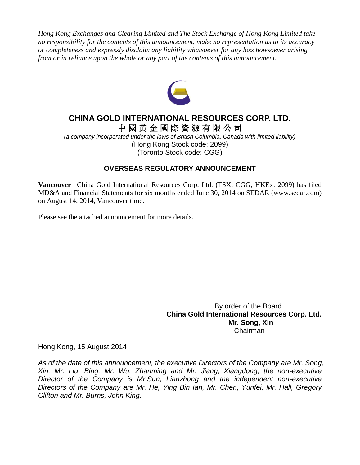*Hong Kong Exchanges and Clearing Limited and The Stock Exchange of Hong Kong Limited take no responsibility for the contents of this announcement, make no representation as to its accuracy or completeness and expressly disclaim any liability whatsoever for any loss howsoever arising from or in reliance upon the whole or any part of the contents of this announcement.*



# **CHINA GOLD INTERNATIONAL RESOURCES CORP. LTD.** 中 國 黃 金 國 際 資 源 有 限 公 司

*(a company incorporated under the laws of British Columbia, Canada with limited liability)* (Hong Kong Stock code: 2099) (Toronto Stock code: CGG)

# **OVERSEAS REGULATORY ANNOUNCEMENT**

**Vancouver** –China Gold International Resources Corp. Ltd. (TSX: CGG; HKEx: 2099) has filed MD&A and Financial Statements for six months ended June 30, 2014 on SEDAR (www.sedar.com) on August 14, 2014, Vancouver time.

Please see the attached announcement for more details.

 By order of the Board **China Gold International Resources Corp. Ltd. Mr. Song, Xin** Chairman

Hong Kong, 15 August 2014

*As of the date of this announcement, the executive Directors of the Company are Mr. Song, Xin, Mr. Liu, Bing, Mr. Wu, Zhanming and Mr. Jiang, Xiangdong, the non-executive Director of the Company is Mr.Sun, Lianzhong and the independent non-executive Directors of the Company are Mr. He, Ying Bin Ian, Mr. Chen, Yunfei, Mr. Hall, Gregory Clifton and Mr. Burns, John King.*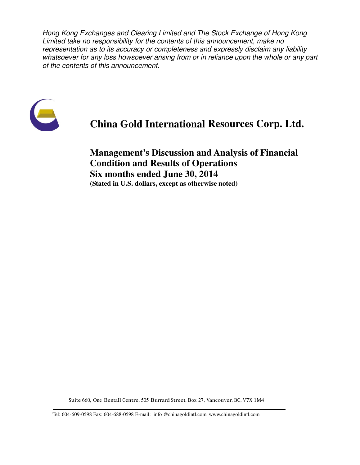Hong Kong Exchanges and Clearing Limited and The Stock Exchange of Hong Kong Limited take no responsibility for the contents of this announcement, make no representation as to its accuracy or completeness and expressly disclaim any liability whatsoever for any loss howsoever arising from or in reliance upon the whole or any part of the contents of this announcement.



# **China Gold International Resources Corp. Ltd.**

**Management's Discussion and Analysis of Financial Condition and Results of Operations Six months ended June 30, 2014 (Stated in U.S. dollars, except as otherwise noted)**

Suite 660, One Bentall Centre, 505 Burrard Street, Box 27, Vancouver, BC, V7X 1M4

Tel: 604-609-0598 Fax: 604-688-0598 E-mail: info @chinagoldintl.com, www.chinagoldintl.com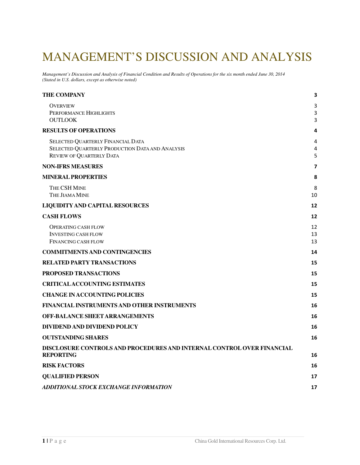# MANAGEMENT'S DISCUSSION AND ANALYSIS

*Management's Discussion and Analysis of Financial Condition and Results of Operations for the six month ended June 30, 2014 (Stated in U.S. dollars, except as otherwise noted)*

| <b>THE COMPANY</b>                                                                                                      | 3              |
|-------------------------------------------------------------------------------------------------------------------------|----------------|
| <b>OVERVIEW</b><br>PERFORMANCE HIGHLIGHTS<br><b>OUTLOOK</b>                                                             | 3<br>3<br>3    |
| <b>RESULTS OF OPERATIONS</b>                                                                                            | 4              |
| SELECTED QUARTERLY FINANCIAL DATA<br>SELECTED QUARTERLY PRODUCTION DATA AND ANALYSIS<br><b>REVIEW OF QUARTERLY DATA</b> | 4<br>4<br>5    |
| <b>NON-IFRS MEASURES</b>                                                                                                | 7              |
| <b>MINERAL PROPERTIES</b>                                                                                               | 8              |
| THE CSH MINE<br><b>THE JIAMA MINE</b>                                                                                   | 8<br>10        |
| <b>LIQUIDITY AND CAPITAL RESOURCES</b>                                                                                  | 12             |
| <b>CASH FLOWS</b>                                                                                                       | 12             |
| <b>OPERATING CASH FLOW</b><br><b>INVESTING CASH FLOW</b><br>FINANCING CASH FLOW                                         | 12<br>13<br>13 |
| <b>COMMITMENTS AND CONTINGENCIES</b>                                                                                    | 14             |
| <b>RELATED PARTY TRANSACTIONS</b>                                                                                       | 15             |
| PROPOSED TRANSACTIONS                                                                                                   | 15             |
| <b>CRITICAL ACCOUNTING ESTIMATES</b>                                                                                    | 15             |
| <b>CHANGE IN ACCOUNTING POLICIES</b>                                                                                    | 15             |
| FINANCIAL INSTRUMENTS AND OTHER INSTRUMENTS                                                                             | 16             |
| <b>OFF-BALANCE SHEET ARRANGEMENTS</b>                                                                                   | 16             |
| DIVIDEND AND DIVIDEND POLICY                                                                                            | 16             |
| <b>OUTSTANDING SHARES</b>                                                                                               | 16             |
| DISCLOSURE CONTROLS AND PROCEDURES AND INTERNAL CONTROL OVER FINANCIAL<br><b>REPORTING</b>                              | 16             |
| <b>RISK FACTORS</b>                                                                                                     | 16             |
| <b>QUALIFIED PERSON</b>                                                                                                 | 17             |
| ADDITIONAL STOCK EXCHANGE INFORMATION                                                                                   | 17             |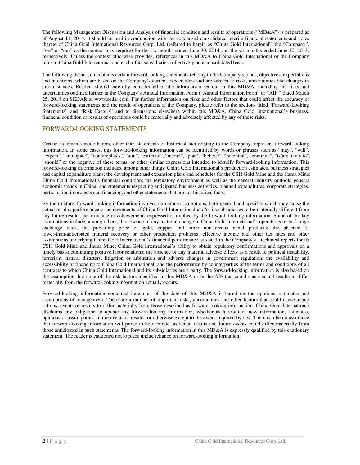The following Management Discussion and Analysis of financial condition and results of operations ("MD&A") is prepared as of August 14, 2014. It should be read in conjunction with the condensed consolidated interim financial statements and notes thereto of China Gold International Resources Corp. Ltd. (referred to herein as "China Gold International", the "Company", "we" or "our" as the context may require) for the six months ended June 30, 2014 and the six months ended June 30, 2013, respectively. Unless the context otherwise provides, references in this MD&A to China Gold International or the Company refer to China Gold International and each of its subsidiaries collectively on a consolidated basis.

The following discussion contains certain forward-looking statements relating to the Company's plans, objectives, expectations and intentions, which are based on the Company's current expectations and are subject to risks, uncertainties and changes in circumstances. Readers should carefully consider all of the information set out in this MD&A, including the risks and uncertainties outlined further in the Company's Annual Information Form ("Annual Information Form" or "AIF") dated March 25, 2014 on SEDAR at www.sedar.com. For further information on risks and other factors that could affect the accuracy of forward-looking statements and the result of operations of the Company, please refer to the sections titled "Forward-Looking Statements" and "Risk Factors" and to discussions elsewhere within this MD&A. China Gold International's business, financial condition or results of operations could be materially and adversely affected by any of these risks.

### FORWARD-LOOKING STATEMENTS

Certain statements made herein, other than statements of historical fact relating to the Company, represent forward-looking information. In some cases, this forward-looking information can be identified by words or phrases such as "may", "will", "expect", "anticipate", "contemplates", "aim", "estimate", "intend", "plan", "believe", "potential", "continue", "is/are likely to", "should" or the negative of these terms, or other similar expressions intended to identify forward-looking information. This forward-looking information includes, among other things; China Gold International's production estimates, business strategies and capital expenditure plans; the development and expansion plans and schedules for the CSH Gold Mine and the Jiama Mine; China Gold International's financial condition; the regulatory environment as well as the general industry outlook; general economic trends in China; and statements respecting anticipated business activities, planned expenditures, corporate strategies, participation in projects and financing, and other statements that are not historical facts.

By their nature, forward-looking information involves numerous assumptions, both general and specific, which may cause the actual results, performance or achievements of China Gold International and/or its subsidiaries to be materially different from any future results, performance or achievements expressed or implied by the forward–looking information. Some of the key assumptions include, among others, the absence of any material change in China Gold International's operations or in foreign exchange rates, the prevailing price of gold, copper and other non-ferrous metal products; the absence of lower-than-anticipated mineral recovery or other production problems; effective income and other tax rates and other assumptions underlying China Gold International's financial performance as stated in the Company's technical reports for its CSH Gold Mine and Jiama Mine; China Gold International's ability to obtain regulatory confirmations and approvals on a timely basis; continuing positive labor relations; the absence of any material adverse effects as a result of political instability, terrorism, natural disasters, litigation or arbitration and adverse changes in government regulation; the availability and accessibility of financing to China Gold International; and the performance by counterparties of the terms and conditions of all contracts to which China Gold International and its subsidiaries are a party. The forward-looking information is also based on the assumption that none of the risk factors identified in this MD&A or in the AIF that could cause actual results to differ materially from the forward-looking information actually occurs.

Forward-looking information contained herein as of the date of this MD&A is based on the opinions, estimates and assumptions of management. There are a number of important risks, uncertainties and other factors that could cause actual actions, events or results to differ materially from those described as forward-looking information. China Gold International disclaims any obligation to update any forward-looking information, whether as a result of new information, estimates, opinions or assumptions, future events or results, or otherwise except to the extent required by law. There can be no assurance that forward-looking information will prove to be accurate, as actual results and future events could differ materially from those anticipated in such statements. The forward-looking information in this MD&A is expressly qualified by this cautionary statement. The reader is cautioned not to place undue reliance on forward-looking information.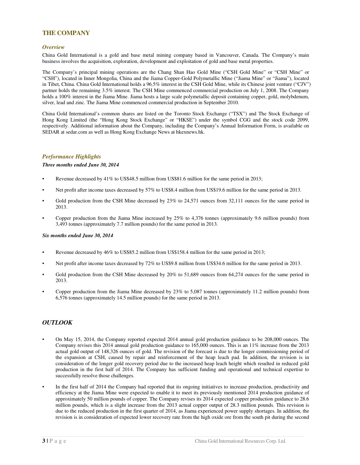### **THE COMPANY**

#### *Overview*

China Gold International is a gold and base metal mining company based in Vancouver, Canada. The Company's main business involves the acquisition, exploration, development and exploitation of gold and base metal properties.

The Company's principal mining operations are the Chang Shan Hao Gold Mine ("CSH Gold Mine" or "CSH Mine" or "CSH"), located in Inner Mongolia, China and the Jiama Copper-Gold Polymetallic Mine ("Jiama Mine" or "Jiama"), located in Tibet, China. China Gold International holds a 96.5% interest in the CSH Gold Mine, while its Chinese joint venture ("CJV") partner holds the remaining 3.5% interest. The CSH Mine commenced commercial production on July 1, 2008. The Company holds a 100% interest in the Jiama Mine. Jiama hosts a large scale polymetallic deposit containing copper, gold, molybdenum, silver, lead and zinc. The Jiama Mine commenced commercial production in September 2010.

China Gold International's common shares are listed on the Toronto Stock Exchange ("TSX") and The Stock Exchange of Hong Kong Limited (the "Hong Kong Stock Exchange" or "HKSE") under the symbol CGG and the stock code 2099, respectively. Additional information about the Company, including the Company's Annual Information Form, is available on SEDAR at sedar.com as well as Hong Kong Exchange News at hkexnews.hk.

#### *Performance Highlights*

#### *Three months ended June 30, 2014*

- Revenue decreased by 41% to US\$48.5 million from US\$81.6 million for the same period in 2013;
- Net profit after income taxes decreased by 57% to US\$8.4 million from US\$19.6 million for the same period in 2013.
- Gold production from the CSH Mine decreased by 23% to 24,571 ounces from 32,111 ounces for the same period in 2013.
- Copper production from the Jiama Mine increased by 25% to 4,376 tonnes (approximately 9.6 million pounds) from 3,493 tonnes (approximately 7.7 million pounds) for the same period in 2013.

#### *Six months ended June 30, 2014*

- Revenue decreased by 46% to US\$85.2 million from US\$158.4 million for the same period in 2013;
- Net profit after income taxes decreased by 72% to US\$9.8 million from US\$34.6 million for the same period in 2013.
- Gold production from the CSH Mine decreased by 20% to 51,689 ounces from 64,274 ounces for the same period in 2013.
- Copper production from the Jiama Mine decreased by 23% to 5,087 tonnes (approximately 11.2 million pounds) from 6,576 tonnes (approximately 14.5 million pounds) for the same period in 2013.

### *OUTLOOK*

- On May 15, 2014, the Company reported expected 2014 annual gold production guidance to be 208,000 ounces. The Company revises this 2014 annual gold production guidance to 165,000 ounces. This is an 11% increase from the 2013 actual gold output of 148,326 ounces of gold. The revision of the forecast is due to the longer commissioning period of the expansion at CSH, caused by repair and reinforcement of the heap leach pad. In addition, the revision is in consideration of the longer gold recovery period due to the increased heap leach height which resulted in reduced gold production in the first half of 2014. The Company has sufficient funding and operational and technical expertise to successfully resolve those challenges.
- In the first half of 2014 the Company had reported that its ongoing initiatives to increase production, productivity and efficiency at the Jiama Mine were expected to enable it to meet its previously mentioned 2014 production guidance of approximately 50 million pounds of copper. The Company revises its 2014 expected copper production guidance to 28.6 million pounds, which is a slight increase from the 2013 actual copper output of 28.3 million pounds. This revision is due to the reduced production in the first quarter of 2014, as Jiama experienced power supply shortages. In addition, the revision is in consideration of expected lower recovery rate from the high oxide ore from the south pit during the second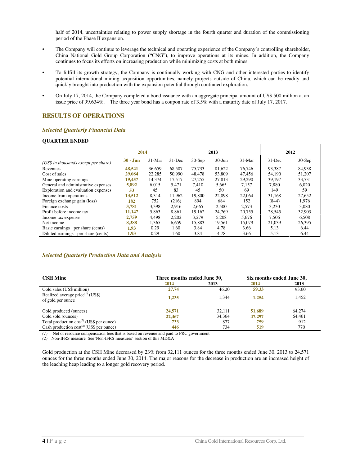half of 2014, uncertainties relating to power supply shortage in the fourth quarter and duration of the commissioning period of the Phase II expansion.

- The Company will continue to leverage the technical and operating experience of the Company's controlling shareholder, China National Gold Group Corporation ("CNG"), to improve operations at its mines. In addition, the Company continues to focus its efforts on increasing production while minimizing costs at both mines.
- To fulfill its growth strategy, the Company is continually working with CNG and other interested parties to identify potential international mining acquisition opportunities, namely projects outside of China, which can be readily and quickly brought into production with the expansion potential through continued exploration.
- On July 17, 2014, the Company completed a bond issuance with an aggregate principal amount of US\$ 500 million at an issue price of 99.634%. The three year bond has a coupon rate of 3.5% with a maturity date of July 17, 2017.

### **RESULTS OF OPERATIONS**

#### *Selected Quarterly Financial Data*

#### **QUARTER ENDED**

|                                       | 2014       |          | 2013       |          |            | 2012     |           |          |
|---------------------------------------|------------|----------|------------|----------|------------|----------|-----------|----------|
| (US\$ in thousands except per share)  | $30 -$ Jun | $31-Mar$ | $31 - Dec$ | $30-Sep$ | $30 - Jun$ | $31-Mar$ | $31$ -Dec | $30-Sep$ |
| Revenues                              | 48,541     | 36,659   | 68,507     | 75.733   | 81,622     | 76,746   | 93.387    | 84,938   |
| Cost of sales                         | 29,084     | 22,285   | 50,990     | 48,478   | 53,809     | 47.456   | 54.190    | 51,207   |
| Mine operating earnings.              | 19,457     | 14,374   | 17.517     | 27,255   | 27,813     | 29,290   | 39.197    | 33,731   |
| General and administrative expenses   | 5,892      | 6.015    | 5,471      | 7.410    | 5.665      | 7.157    | 7.880     | 6,020    |
| Exploration and evaluation expenses   | 53         | 45       | 83         | 45       | 50         | 69       | 149       | 59       |
| Income from operations                | 13,512     | 8.314    | 11.962     | 19,800   | 22,098     | 22,064   | 31.168    | 27,652   |
| Foreign exchange gain (loss)          | 182        | 752      | (216)      | 894      | 684        | 152      | (844)     | 1.976    |
| Finance costs                         | 3.781      | 3.398    | 2.916      | 2.665    | 2.500      | 2.573    | 3.230     | 3.080    |
| Profit before income tax              | 11,147     | 5.863    | 8.861      | 19.162   | 24,769     | 20.755   | 28.545    | 32,903   |
| Income tax expense                    | 2,759      | 4.498    | 2.202      | 3.279    | 5,208      | 5,676    | 7.506     | 6.508    |
| Net income                            | 8,388      | 1.365    | 6.659      | 15.883   | 19.561     | 15.079   | 21,039    | 26,395   |
| Basic earnings<br>per share (cents)   | 1.93       | 0.29     | 1.60       | 3.84     | 4.78       | 3.66     | 5.13      | 6.44     |
| Diluted earnings<br>per share (cents) | 1.93       | 0.29     | 1.60       | 3.84     | 4.78       | 3.66     | 5.13      | 6.44     |

#### *Selected Quarterly Production Data and Analysis*

| <b>CSH Mine</b>                                          | Three months ended June 30, |        | Six months ended June 30, |        |
|----------------------------------------------------------|-----------------------------|--------|---------------------------|--------|
|                                                          | 2014                        | 2013   | 2014                      | 2013   |
| Gold sales (US\$ million)                                | 27.74                       | 46.20  | 59.33                     | 93.60  |
| Realized average price $(1)$ (US\$)<br>of gold per ounce | 1.235                       | 1.344  | 1.254                     | 1,452  |
| Gold produced (ounces)                                   | 24,571                      | 32.111 | 51,689                    | 64.274 |
| Gold sold (ounces)                                       | 22,467                      | 34,364 | 47,297                    | 64.461 |
| Total production $cos^{(2)}$ (US\$ per ounce)            | 733                         | 877    | 759                       | 912    |
| Cash production $cost^{(2)}$ (US\$ per ounce)            | 446                         | 734    | 519                       | 770    |

*(1)* Net of resource compensation fees that is based on revenue and paid to PRC government

*(2)* Non-IFRS measure. See 'Non-IFRS measures' section of this MD&A

Gold production at the CSH Mine decreased by 23% from 32,111 ounces for the three months ended June 30, 2013 to 24,571 ounces for the three months ended June 30, 2014. The major reasons for the decrease in production are an increased height of the leaching heap leading to a longer gold recovery period.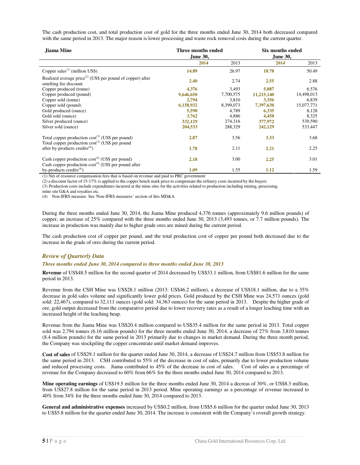The cash production cost, and total production cost of gold for the three months ended June 30, 2014 both decreased compared with the same period in 2013. The major reason is lower processing and waste rock removal costs during the current quarter.

| Jiama Mine                                                                                                        | Three months ended<br>June 30, |           | Six months ended<br><b>June 30,</b> |            |  |
|-------------------------------------------------------------------------------------------------------------------|--------------------------------|-----------|-------------------------------------|------------|--|
|                                                                                                                   | 2014                           | 2013      | 2014                                | 2013       |  |
| Copper sales <sup><math>(1)</math></sup> (million US\$)                                                           | 14.89                          | 26.97     | 18.78                               | 50.49      |  |
| Realized average $price^{(2)}$ (US\$ per pound of copper) after<br>smelting fee discount                          | 2.40                           | 2.74      | 2.55                                | 2.88       |  |
| Copper produced (tonne)                                                                                           | 4,376                          | 3,493     | 5,087                               | 6,576      |  |
| Copper produced (pound)                                                                                           | 9,646,650                      | 7,700,575 | 11,215,140                          | 14,498,013 |  |
| Copper sold (tonne)                                                                                               | 2,794                          | 3.810     | 3,356                               | 6,839      |  |
| Copper sold (pound)                                                                                               | 6,158,932                      | 8,399,073 | 7,397,630                           | 15,077,771 |  |
| Gold produced (ounce)                                                                                             | 5,590                          | 4,789     | 6,335                               | 8,128      |  |
| Gold sold (ounce)                                                                                                 | 3,762                          | 4,886     | 4,458                               | 8,325      |  |
| Silver produced (ounce)                                                                                           | 332,129                        | 274,316   | 377,972                             | 539,590    |  |
| Silver sold (ounce)                                                                                               | 204,533                        | 288,329   | 242,129                             | 533,447    |  |
| Total copper production $cost^{(3)}$ (US\$ per pound)<br>Total copper production $cost^{(3)}$ (US\$ per pound     | 2.87                           | 3.56      | 3.33                                | 3.68       |  |
| after by-products credits $(4)$ )                                                                                 | 1.78                           | 2.11      | 2.21                                | 2.25       |  |
| Cash copper production $cost^{(4)}$ (US\$ per pound)<br>Cash copper production $cost^{(4)}$ (US\$ per pound after | 2.18                           | 3.00      | 2.25                                | 3.01       |  |
| by-products credits <sup>(4)</sup> )                                                                              | 1.09                           | 1.55      | 1.12                                | 1.59       |  |

(1) Net of resource compensation fees that is based on revenue and paid to PRC government

(2) a discount factor of 15-17% is applied to the copper bench mark price to compensate the refinery costs incurred by the buyers

(3) Production costs include expenditures incurred at the mine sites for the activities related to production including mining, processing,

mine site G&A and royalties etc.

(4) Non-IFRS measure. See 'Non-IFRS measures' section of this MD&A

During the three months ended June 30, 2014, the Jiama Mine produced 4,376 tonnes (approximately 9.6 million pounds) of copper, an increase of 25% compared with the three months ended June 30, 2013 (3,493 tonnes, or 7.7 million pounds). The increase in production was mainly due to higher grade ores are mined during the current period.

The cash production cost of copper per pound, and the total production cost of copper per pound both decreased due to the increase in the grade of ores during the current period.

#### *Review of Quarterly Data*

#### *Three months ended June 30, 2014 compared to three months ended June 30, 2013*

**Revenue** of US\$48.5 million for the second quarter of 2014 decreased by US\$33.1 million, from US\$81.6 million for the same period in 2013.

Revenue from the CSH Mine was US\$28.1 million (2013: US\$46.2 million), a decrease of US\$18.1 million, due to a 35% decrease in gold sales volume and significantly lower gold prices. Gold produced by the CSH Mine was 24,571 ounces (gold sold: 22,467), compared to 32,111 ounces (gold sold: 34,363 ounces) for the same period in 2013. Despite the higher grade of ore, gold output decreased from the comparative period due to lower recovery rates as a result of a longer leaching time with an increased height of the leaching heap.

Revenue from the Jiama Mine was US\$20.4 million compared to US\$35.4 million for the same period in 2013. Total copper sold was 2,794 tonnes (6.16 million pounds) for the three months ended June 30, 2014, a decrease of 27% from 3,810 tonnes (8.4 million pounds) for the same period in 2013 primarily due to changes in market demand. During the three month period, the Company was stockpiling the copper concentrate until market demand improves.

**Cost of sales** of US\$29.1 million for the quarter ended June 30, 2014, a decrease of US\$24.7 million from US\$53.8 million for the same period in 2013. CSH contributed to 55% of the decrease in cost of sales, primarily due to lower production volume and reduced processing costs. Jiama contributed to 45% of the decrease in cost of sales. Cost of sales as a percentage of revenue for the Company decreased to 60% from 66% for the three months ended June 30, 2014 compared to 2013.

**Mine operating earnings** of US\$19.5 million for the three months ended June 30, 2014 a decreas of 30%, or US\$8.3 million, from US\$27.8 million for the same period in 2013 period. Mine operating earnings as a percentage of revenue increased to 40% from 34% for the three months ended June 30, 2014 compared to 2013.

**General and administrative expenses** increased by US\$0.2 million, from US\$5.6 million for the quarter ended June 30, 2013 to US\$5.8 million for the quarter ended June 30, 2014. The increase is consistent with the Company's overall growth strategy.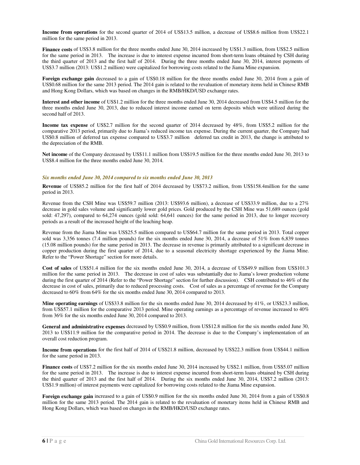**Income from operations** for the second quarter of 2014 of US\$13.5 million, a decrease of US\$8.6 million from US\$22.1 million for the same period in 2013.

**Finance costs** of US\$3.8 million for the three months ended June 30, 2014 increased by US\$1.3 million, from US\$2.5 million for the same period in 2013. The increase is due to interest expense incurred from short-term loans obtained by CSH during the third quarter of 2013 and the first half of 2014. During the three months ended June 30, 2014, interest payments of US\$3.7 million (2013: US\$1.2 million) were capitalized for borrowing costs related to the Jiama Mine expansion.

**Foreign exchange gain** decreased to a gain of US\$0.18 million for the three months ended June 30, 2014 from a gain of US\$0.68 million for the same 2013 period. The 2014 gain is related to the revaluation of monetary items held in Chinese RMB and Hong Kong Dollars, which was based on changes in the RMB/HKD/USD exchange rates.

**Interest and other income** of US\$1.2 million for the three months ended June 30, 2014 decreased from US\$4.5 million for the three months ended June 30, 2013, due to reduced interest income earned on term deposits which were utilized during the second half of 2013.

**Income tax expense** of US\$2.7 million for the second quarter of 2014 decreased by 48%, from US\$5.2 million for the comparative 2013 period, primarily due to Jiama's reduced income tax expense. During the current quarter, the Company had US\$0.8 million of deferred tax expense compared to US\$3.7 million deferred tax credit in 2013, the change is attributed to the depreciation of the RMB.

**Net income** of the Company decreased by US\$11.1 million from US\$19.5 million for the three months ended June 30, 2013 to US\$8.4 million for the three months ended June 30, 2014.

#### *Six months ended June 30, 2014 compared to six months ended June 30, 2013*

**Revenue** of US\$85.2 million for the first half of 2014 decreased by US\$73.2 million, from US\$158.4million for the same period in 2013.

Revenue from the CSH Mine was US\$59.7 million (2013: US\$93.6 million), a decrease of US\$33.9 million, due to a 27% decrease in gold sales volume and significantly lower gold prices. Gold produced by the CSH Mine was 51,689 ounces (gold sold: 47,297), compared to 64,274 ounces (gold sold: 64,641 ounces) for the same period in 2013, due to longer recovery periods as a result of the increased height of the leaching heap.

Revenue from the Jiama Mine was US\$25.5 million compared to US\$64.7 million for the same period in 2013. Total copper sold was 3,356 tonnes (7.4 million pounds) for the six months ended June 30, 2014, a decrease of 51% from 6,839 tonnes (15.08 million pounds) for the same period in 2013. The decrease in revenue is primarily attributed to a significant decrease in copper production during the first quarter of 2014, due to a seasonal electricity shortage experienced by the Jiama Mine. Refer to the "Power Shortage" section for more details.

**Cost of sales** of US\$51.4 million for the six months ended June 30, 2014, a decrease of US\$49.9 million from US\$101.3 million for the same period in 2013. The decrease in cost of sales was substantially due to Jiama's lower production volume during the first quarter of 2014 (Refer to the "Power Shortage" section for further discussion). CSH contributed to 46% of the decrease in cost of sales, primarily due to reduced processing costs. Cost of sales as a percentage of revenue for the Company decreased to 60% from 64% for the six months ended June 30, 2014 compared to 2013.

**Mine operating earnings** of US\$33.8 million for the six months ended June 30, 2014 decreased by 41%, or US\$23.3 million, from US\$57.1 million for the comparative 2013 period. Mine operating earnings as a percentage of revenue increased to 40% from 36% for the six months ended June 30, 2014 compared to 2013.

**General and administrative expenses** decreased by US\$0.9 million, from US\$12.8 million for the six months ended June 30, 2013 to US\$11.9 million for the comparative period in 2014. The decrease is due to the Company's implementation of an overall cost reduction program.

**Income from operations** for the first half of 2014 of US\$21.8 million, decreased by US\$22.3 million from US\$44.1 million for the same period in 2013.

**Finance costs** of US\$7.2 million for the six months ended June 30, 2014 increased by US\$2.1 million, from US\$5.07 million for the same period in 2013. The increase is due to interest expense incurred from short-term loans obtained by CSH during the third quarter of 2013 and the first half of 2014. During the six months ended June 30, 2014, US\$7.2 million (2013: US\$1.9 million) of interest payments were capitalized for borrowing costs related to the Jiama Mine expansion.

**Foreign exchange gain** increased to a gain of US\$0.9 million for the six months ended June 30, 2014 from a gain of US\$0.8 million for the same 2013 period. The 2014 gain is related to the revaluation of monetary items held in Chinese RMB and Hong Kong Dollars, which was based on changes in the RMB/HKD/USD exchange rates.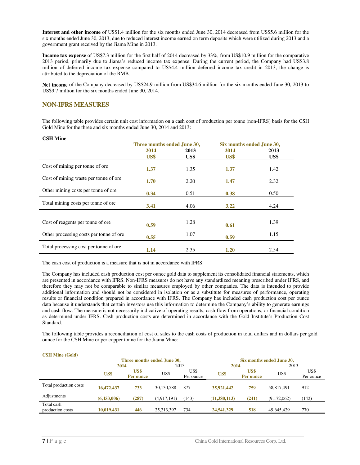**Interest and other income** of US\$1.4 million for the six months ended June 30, 2014 decreased from US\$5.6 million for the six months ended June 30, 2013, due to reduced interest income earned on term deposits which were utilized during 2013 and a government grant received by the Jiama Mine in 2013.

**Income tax expense** of US\$7.3 million for the first half of 2014 decreased by 33%, from US\$10.9 million for the comparative 2013 period, primarily due to Jiama's reduced income tax expense. During the current period, the Company had US\$3.8 million of deferred income tax expense compared to US\$4.4 million deferred income tax credit in 2013, the change is attributed to the depreciation of the RMB.

**Net income** of the Company decreased by US\$24.9 million from US\$34.6 million for the six months ended June 30, 2013 to US\$9.7 million for the six months ended June 30, 2014.

### **NON-IFRS MEASURES**

The following table provides certain unit cost information on a cash cost of production per tonne (non-IFRS) basis for the CSH Gold Mine for the three and six months ended June 30, 2014 and 2013:

#### **CSH Mine**

|                                          | Three months ended June 30, |      | Six months ended June 30, |      |
|------------------------------------------|-----------------------------|------|---------------------------|------|
|                                          | 2014                        | 2013 | 2014                      | 2013 |
|                                          | US\$                        | US\$ | US\$                      | US\$ |
| Cost of mining per tonne of ore          | 1.37                        | 1.35 | 1.37                      | 1.42 |
| Cost of mining waste per tonne of ore.   | 1.70                        | 2.20 | 1.47                      | 2.32 |
| Other mining costs per tonne of ore.     | 0.34                        | 0.51 | 0.38                      | 0.50 |
| Total mining costs per tonne of ore.     | 3.41                        | 4.06 | 3.22                      | 4.24 |
|                                          |                             |      |                           |      |
| Cost of reagents per tonne of ore        | 0.59                        | 1.28 | 0.61                      | 1.39 |
| Other processing costs per tonne of ore. | 0.55                        | 1.07 | 0.59                      | 1.15 |
| Total processing cost per tonne of ore.  | 1.14                        | 2.35 | 1.20                      | 2.54 |

The cash cost of production is a measure that is not in accordance with IFRS.

The Company has included cash production cost per ounce gold data to supplement its consolidated financial statements, which are presented in accordance with IFRS. Non-IFRS measures do not have any standardized meaning prescribed under IFRS, and therefore they may not be comparable to similar measures employed by other companies. The data is intended to provide additional information and should not be considered in isolation or as a substitute for measures of performance, operating results or financial condition prepared in accordance with IFRS. The Company has included cash production cost per ounce data because it understands that certain investors use this information to determine the Company's ability to generate earnings and cash flow. The measure is not necessarily indicative of operating results, cash flow from operations, or financial condition as determined under IFRS. Cash production costs are determined in accordance with the Gold Institute's Production Cost Standard.

The following table provides a reconciliation of cost of sales to the cash costs of production in total dollars and in dollars per gold ounce for the CSH Mine or per copper tonne for the Jiama Mine:

| <b>CSH Mine (G010)</b>         |             |                   |                             |                   |              |                           |             |                   |  |
|--------------------------------|-------------|-------------------|-----------------------------|-------------------|--------------|---------------------------|-------------|-------------------|--|
|                                |             |                   | Three months ended June 30, |                   |              | Six months ended June 30, |             |                   |  |
|                                | 2014        |                   | 2013                        |                   | 2014         |                           | 2013        |                   |  |
|                                | US\$        | US\$<br>Per ounce | US\$                        | US\$<br>Per ounce | US\$         | US\$<br>Per ounce         | US\$        | US\$<br>Per ounce |  |
| Total production costs         | 16,472,437  | 733               | 30,130,588                  | 877               | 35,921,442   | 759                       | 58,817,491  | 912               |  |
| Adjustments                    | (6,453,006) | (287)             | (4,917,191)                 | (143)             | (11,380,113) | (241)                     | (9,172,062) | (142)             |  |
| Total cash<br>production costs | 10,019,431  | 446               | 25, 213, 397                | 734               | 24,541,329   | 518                       | 49,645,429  | 770               |  |

#### **CSH Mine (Gold)**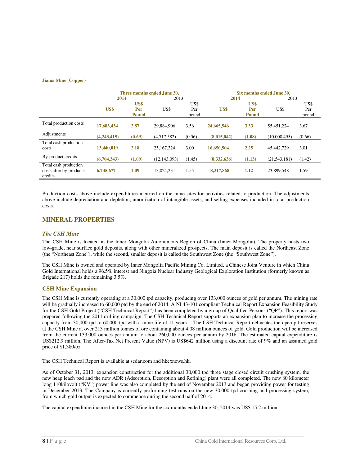#### **Jiama Mine (Copper)**

|                                                             | Three months ended June 30, |              |                |        | Six months ended June 30. |              |                |        |
|-------------------------------------------------------------|-----------------------------|--------------|----------------|--------|---------------------------|--------------|----------------|--------|
|                                                             | 2014                        |              | 2013           |        | 2014                      |              | 2013           |        |
|                                                             |                             | US\$         |                | US\$   |                           | US\$         |                | US\$   |
|                                                             | US\$                        | Per          | US\$           | Per    | US\$                      | Per          | US\$           | Per    |
|                                                             |                             | <b>Pound</b> |                | pound  |                           | <b>Pound</b> |                | pound  |
| Total production costs                                      | 17,683,434                  | 2.87         | 29,884,906     | 3.56   | 24,665,546                | 3.33         | 55,451,224     | 3.67   |
| Adjustments                                                 | (4,243,415)                 | (0.69)       | (4,717,582)    | (0.56) | (8,015,042)               | (1.08)       | (10,008,495)   | (0.66) |
| Total cash production<br>costs                              | 13,440,019                  | 2.18         | 25, 167, 324   | 3.00   | 16,650,504                | 2.25         | 45,442,729     | 3.01   |
| By-product credits                                          | (6,704,343)                 | (1.09)       | (12, 143, 093) | (1.45) | (8,332,636)               | (1.13)       | (21, 543, 181) | (1.42) |
| Total cash production<br>costs after by-products<br>credits | 6,735,677                   | 1.09         | 13.024.231     | 1.55   | 8,317,868                 | 1.12         | 23,899,548     | 1.59   |

Production costs above include expenditures incurred on the mine sites for activities related to production. The adjustments above include depreciation and depletion, amortization of intangible assets, and selling expenses included in total production costs.

#### **MINERAL PROPERTIES**

#### *The CSH Mine*

The CSH Mine is located in the Inner Mongolia Autonomous Region of China (Inner Mongolia). The property hosts two low-grade, near surface gold deposits, along with other mineralized prospects. The main deposit is called the Northeast Zone (the "Northeast Zone"), while the second, smaller deposit is called the Southwest Zone (the "Southwest Zone").

The CSH Mine is owned and operated by Inner Mongolia Pacific Mining Co. Limited, a Chinese Joint Venture in which China Gold International holds a 96.5% interest and Ningxia Nuclear Industry Geological Exploration Institution (formerly known as Brigade 217) holds the remaining 3.5%.

#### **CSH Mine Expansion**

The CSH Mine is currently operating at a 30,000 tpd capacity, producing over 133,000 ounces of gold per annum. The mining rate will be gradually increased to 60,000 ptd by the end of 2014. A NI 43-101 compliant Technical Report Expansion Feasibility Study for the CSH Gold Project ("CSH Technical Report") has been completed by a group of Qualified Persons ("QP"). This report was prepared following the 2011 drilling campaign. The CSH Technical Report supports an expansion plan to increase the processing capacity from 30,000 tpd to 60,000 tpd with a mine life of 11 years. The CSH Technical Report delineates the open pit reserves at the CSH Mine at over 213 million tonnes of ore containing about 4.08 million ounces of gold. Gold production will be increased from the current 133,000 ounces per annum to about 260,000 ounces per annum by 2016. The estimated capital expenditure is US\$212.9 million. The After-Tax Net Present Value (NPV) is US\$642 million using a discount rate of 9% and an assumed gold price of \$1,380/oz.

The CSH Technical Report is available at sedar.com and hkexnews.hk.

As of October 31, 2013, expansion construction for the additional 30,000 tpd three stage closed circuit crushing system, the new heap leach pad and the new ADR (Adsorption, Desorption and Refining) plant were all completed. The new 80 kilometer long 110kilovolt ("KV") power line was also completed by the end of November 2013 and began providing power for testing in December 2013. The Company is currently performing test runs on the new 30,000 tpd crushing and processing system, from which gold output is expected to commence during the second half of 2014.

The capital expenditure incurred in the CSH Mine for the six months ended June 30, 2014 was US\$ 15.2 million.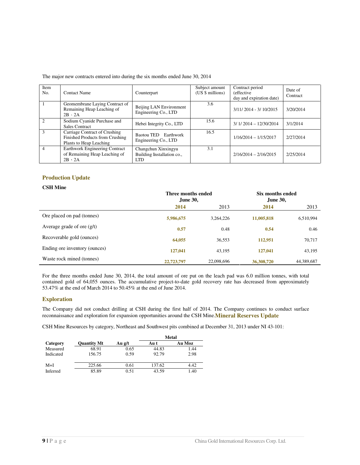|  |  | The major new contracts entered into during the six months ended June 30, 2014 |
|--|--|--------------------------------------------------------------------------------|
|  |  |                                                                                |

| Item<br>No.    | <b>Contact Name</b>                                                                         | Counterpart                                                     | Subject amount<br>(US \$ millions) | Contract period<br><i>(effective)</i><br>day and expiration date) | Date of<br>Contract |
|----------------|---------------------------------------------------------------------------------------------|-----------------------------------------------------------------|------------------------------------|-------------------------------------------------------------------|---------------------|
|                | Geomembrane Laying Contract of<br>Remaining Heap Leaching of<br>$2B \cdot 2A$               | Beijing LAN Environment<br>Engineering Co., LTD                 | 3.6                                | $3/11/2014 - 3/10/2015$                                           | 3/20/2014           |
| $\mathcal{D}$  | Sodium Cyanide Purchase and<br>Sales Contract                                               | Hebei Integrity Co., LTD                                        | 15.6                               | $3/1/2014 - 12/30/2014$                                           | 3/1/2014            |
| $\mathcal{R}$  | Carriage Contract of Crushing<br>Finished Products from Crushing<br>Plants to Heap Leaching | Baotou TED Earthwork<br>Engineering Co., LTD                    | 16.5                               | $1/16/2014 - 1/15/2017$                                           | 2/27/2014           |
| $\overline{4}$ | Earthwork Engineering Contract<br>of Remaining Heap Leaching of<br>$2B \cdot 2A$            | Changchun Xinxingyu<br>Building Installation co.,<br><b>LTD</b> | 3.1                                | $2/16/2014 - 2/16/2015$                                           | 2/25/2014           |

### **Production Update**

#### **CSH Mine**

|                               | Three months ended<br><b>June 30,</b> |            | Six months ended<br>June 30, |            |
|-------------------------------|---------------------------------------|------------|------------------------------|------------|
|                               | 2014                                  | 2013       | 2014                         | 2013       |
| Ore placed on pad (tonnes)    | 5,986,675                             | 3,264,226  | 11,005,818                   | 6,510,994  |
| Average grade of ore $(g/t)$  | 0.57                                  | 0.48       | 0.54                         | 0.46       |
| Recoverable gold (ounces)     | 64,055                                | 36,553     | 112,951                      | 70,717     |
| Ending ore inventory (ounces) | 127,041                               | 43,195     | 127,041                      | 43,195     |
| Waste rock mined (tonnes)     | 22,723,797                            | 22,098,696 | 36,308,720                   | 44,389,687 |

For the three months ended June 30, 2014, the total amount of ore put on the leach pad was 6.0 million tonnes, with total contained gold of 64,055 ounces. The accumulative project-to-date gold recovery rate has decreased from approximately 53.47% at the end of March 2014 to 50.45% at the end of June 2014.

#### **Exploration**

The Company did not conduct drilling at CSH during the first half of 2014. The Company continues to conduct surface reconnaissance and exploration for expansion opportunities around the CSH Mine.**Mineral Reserves Update**

CSH Mine Resources by category, Northeast and Southwest pits combined at December 31, 2013 under NI 43-101:

|           |                    |        |        | <b>Metal</b> |
|-----------|--------------------|--------|--------|--------------|
| Category  | <b>Ouantity Mt</b> | Au g/t | Au t   | Au Moz       |
| Measured  | 68.91              | 0.65   | 44.83  | 1.44         |
| Indicated | 156.75             | 0.59   | 92.79  | 2.98         |
| $M+I$     | 225.66             | 0.61   | 137.62 | 4.42         |
| Inferred  | 85.89              | 0.51   | 43.59  | 1.40         |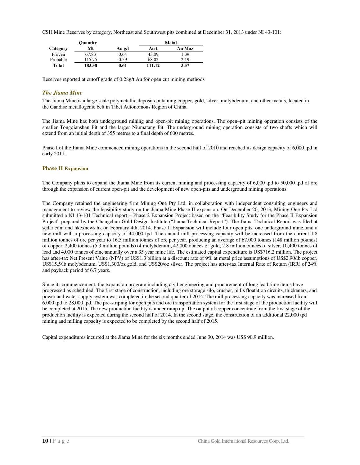CSH Mine Reserves by category, Northeast and Southwest pits combined at December 31, 2013 under NI 43-101:

| Quantity |        |        | <b>Metal</b> |        |  |
|----------|--------|--------|--------------|--------|--|
| Category | Mt     | Au g/t | Au t         | Au Moz |  |
| Proven   | 67.83  | 0.64   | 43.09        | 1.39   |  |
| Probable | 115.75 | 0.59   | 68.02        | 2.19   |  |
| Total    | 183.58 | 0.61   | 111.12       | 3.57   |  |

Reserves reported at cutoff grade of 0.28g/t Au for open cut mining methods

#### *The Jiama Mine*

The Jiama Mine is a large scale polymetallic deposit containing copper, gold, silver, molybdenum, and other metals, located in the Gandise metallogenic belt in Tibet Autonomous Region of China.

The Jiama Mine has both underground mining and open-pit mining operations. The open–pit mining operation consists of the smaller Tongqianshan Pit and the larger Niumatang Pit. The underground mining operation consists of two shafts which will extend from an initial depth of 355 metres to a final depth of 600 metres.

Phase I of the Jiama Mine commenced mining operations in the second half of 2010 and reached its design capacity of 6,000 tpd in early 2011.

#### **Phase II Expansion**

The Company plans to expand the Jiama Mine from its current mining and processing capacity of 6,000 tpd to 50,000 tpd of ore through the expansion of current open-pit and the development of new open-pits and underground mining operations.

The Company retained the engineering firm Mining One Pty Ltd, in collaboration with independent consulting engineers and management to review the feasibility study on the Jiama Mine Phase II expansion. On December 20, 2013, Mining One Pty Ltd submitted a NI 43-101 Technical report – Phase 2 Expansion Project based on the "Feasibility Study for the Phase II Expansion Project" prepared by the Changchun Gold Design Institute ("Jiama Technical Report"). The Jiama Technical Report was filed at sedar.com and hkexnews.hk on February 4th, 2014. Phase II Expansion will include four open pits, one underground mine, and a new mill with a processing capacity of 44,000 tpd. The annual mill processing capacity will be increased from the current 1.8 million tonnes of ore per year to 16.5 million tonnes of ore per year, producing an average of 67,000 tonnes (148 million pounds) of copper, 2,400 tonnes (5.3 million pounds) of molybdenum, 42,000 ounces of gold, 2.8 million ounces of silver, 10,400 tonnes of lead and 4,000 tonnes of zinc annually over a 35 year mine life. The estimated capital expenditure is US\$716.2 million. The project has after-tax Net Present Value (NPV) of US\$1.3 billion at a discount rate of 9% at metal price assumptions of US\$2.90/lb copper, US\$15.5/lb molybdenum, US\$1,300/oz gold, and US\$20/oz silver. The project has after-tax Internal Rate of Return (IRR) of 24% and payback period of 6.7 years.

Since its commencement, the expansion program including civil engineering and procurement of long lead time items have progressed as scheduled. The first stage of construction, including ore storage silo, crusher, mills floatation circuits, thickeners, and power and water supply system was completed in the second quarter of 2014. The mill processing capacity was increased from 6,000 tpd to 28,000 tpd. The pre-striping for open pits and ore transportation system for the first stage of the production facility will be completed at 2015. The new production facility is under ramp up. The output of copper concentrate from the first stage of the production facility is expected during the second half of 2014. In the second stage, the construction of an additional 22,000 tpd mining and milling capacity is expected to be completed by the second half of 2015.

Capital expenditures incurred at the Jiama Mine for the six months ended June 30, 2014 was US\$ 90.9 million.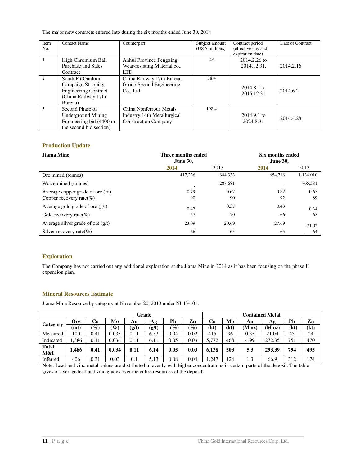The major new contracts entered into during the six months ended June 30, 2014

| Item<br>No. | <b>Contact Name</b>                                                                                      | Counterpart                                                                           | Subject amount<br>(US \$ millions) | Contract period<br>(effective day and<br>expiration date) | Date of Contract |
|-------------|----------------------------------------------------------------------------------------------------------|---------------------------------------------------------------------------------------|------------------------------------|-----------------------------------------------------------|------------------|
|             | High Chromium Ball<br>Purchase and Sales<br>Contract                                                     | Anhui Province Fengxing<br>Wear-resisting Material co.,<br><b>LTD</b>                 | 2.6                                | $2014.2.26$ to<br>2014.12.31.                             | 2014.2.16        |
| 2           | South Pit Outdoor<br>Campaign Stripping<br><b>Engineering Contract</b><br>(China Railway 17th<br>Bureau) | China Railway 17th Bureau<br>Group Second Engineering<br>Co., Ltd.                    | 38.4                               | $2014.8.1$ to<br>2015.12.31                               | 2014.6.2         |
| 3           | Second Phase of<br>Underground Mining<br>Engineering bid (4400 m<br>the second bid section)              | China Nonferrous Metals<br>Industry 14th Metallurgical<br><b>Construction Company</b> | 198.4                              | $2014.9.1$ to<br>2024.8.31                                | 2014.4.28        |

### **Production Update**

| Jiama Mine                          | Three months ended<br>June 30, |         | Six months ended<br><b>June 30,</b> |           |  |
|-------------------------------------|--------------------------------|---------|-------------------------------------|-----------|--|
|                                     | 2014                           | 2013    | 2014                                | 2013      |  |
| Ore mined (tonnes)                  | 417.236                        | 644,333 | 654,716                             | 1,134,010 |  |
| Waste mined (tonnes)                |                                | 287,681 |                                     | 765,581   |  |
| Average copper grade of ore $(\%)$  | 0.79                           | 0.67    | 0.82                                | 0.65      |  |
| Copper recovery rate $(\%)$         | 90                             | 90      | 92                                  | 89        |  |
| Average gold grade of ore $(g/t)$   | 0.42                           | 0.37    | 0.43                                | 0.34      |  |
| Gold recovery rate $(\%)$           | 67                             | 70      | 66                                  | 65        |  |
| Average silver grade of ore $(g/t)$ | 23.09                          | 20.69   | 27.69                               | 21.02     |  |
| Silver recovery rate $(\%)$         | 66                             | 65      | 65                                  | 64        |  |

#### **Exploration**

The Company has not carried out any additional exploration at the Jiama Mine in 2014 as it has been focusing on the phase II expansion plan.

### **Mineral Resources Estimate**

Jiama Mine Resource by category at November 20, 2013 under NI 43-101:

| Grade               |            |                 |                 |       | <b>Contained Metal</b> |                 |                 |       |      |                    |                  |      |      |
|---------------------|------------|-----------------|-----------------|-------|------------------------|-----------------|-----------------|-------|------|--------------------|------------------|------|------|
|                     | <b>Ore</b> | Cu              | Mo              | Αu    | Ag                     | Pb              | Zn              | Cu    | Mo   | Au                 | Ag               | Pb   | Zn   |
| Category            | mt)        | $\mathscr{G}_o$ | $\mathscr{G}_o$ | (g/t) | (g/t)                  | $\mathscr{C}_0$ | $\mathscr{G}_o$ | (kt)  | (kt) | (M <sub>oz</sub> ) | $(M \text{ oz})$ | (kt) | (kt) |
| Measured            | 100        | 0.41            | 0.035           | 0.11  | 6.53                   | 0.04            | 0.02            | 415   | 36   | 0.35               | 21.04            | 43   | 24   |
| Indicated           | .386       | 0.41            | 0.034           | 0.11  | 6.11                   | 0.05            | 0.03            | 5,772 | 468  | 4.99               | 272.35           | 751  | 470  |
| <b>Total</b><br>M&I | 1.486      | 0.41            | 0.034           | 0.11  | 6.14                   | 0.05            | 0.03            | 6,138 | 503  | 5.3                | 293.39           | 794  | 495  |
| Inferred            | 406        | 0.31            | 0.03            | 0.1   | 5.13                   | 0.08            | 0.04            | .247  | 124  | 1.3                | 66.9             | 312  | 174  |

Note: Lead and zinc metal values are distributed unevenly with higher concentrations in certain parts of the deposit. The table gives of average lead and zinc grades over the entire resources of the deposit.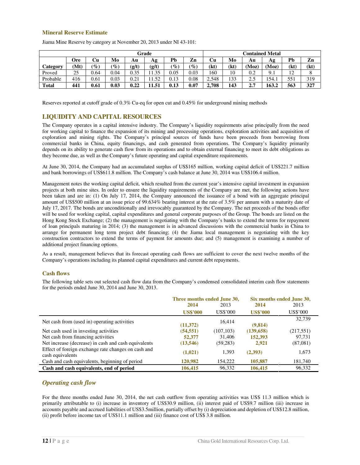#### **Mineral Reserve Estimate**

| Grade        |      |                 |                 |       | <b>Contained Metal</b> |                 |                                 |       |      |      |       |                               |      |
|--------------|------|-----------------|-----------------|-------|------------------------|-----------------|---------------------------------|-------|------|------|-------|-------------------------------|------|
|              | Ore  | Сu              | Mo              | Au    | Аg                     | Pb              | Zn                              | Cu    | Mo   | Αu   | Ag    | Pb                            | Zn   |
| Category     | (Mt) | $\mathscr{C}_o$ | $\mathcal{C}_0$ | (g/t) | (g/t)                  | $\mathscr{G}_o$ | $\left( \mathscr{G}_{o}\right)$ | (kt)  | (kt) | (Moz | (Moz) | (kt)                          | (kt) |
| Proved       | 25   | 0.64            | 0.04            | 0.35  | 11.35                  | 0.05            | 0.03                            | 160   | 10   | 0.2  | 9.1   | $1^{\circ}$<br>$\overline{1}$ |      |
| Probable     | 416  | 0.61            | 0.03            | 0.21  | -52                    | 0.13            | 0.08                            | 2.548 | 133  | 2.5  | 154.1 | 551                           | 319  |
| <b>Total</b> | 441  | 0.61            | 0.03            | 0.22  | 11.51                  | 0.13            | $0.07\,$                        | 2,708 | 143  | 2.7  | 163.2 | 563                           | 327  |

Jiama Mine Reserve by category at November 20, 2013 under NI 43-101:

Reserves reported at cutoff grade of 0.3% Cu-eq for open cut and 0.45% for underground mining methods

### **LIQUIDITY AND CAPITAL RESOURCES**

The Company operates in a capital intensive industry. The Company's liquidity requirements arise principally from the need for working capital to finance the expansion of its mining and processing operations, exploration activities and acquisition of exploration and mining rights. The Company's principal sources of funds have been proceeds from borrowing from commercial banks in China, equity financings, and cash generated from operations. The Company's liquidity primarily depends on its ability to generate cash flow from its operations and to obtain external financing to meet its debt obligations as they become due, as well as the Company's future operating and capital expenditure requirements.

At June 30, 2014, the Company had an accumulated surplus of US\$165 million, working capital deficit of US\$221.7 million and bank borrowings of US\$611.8 million. The Company's cash balance at June 30, 2014 was US\$106.4 million.

Management notes the working capital deficit, which resulted from the current year's intensive capital investment in expansion projects at both mine sites. In order to ensure the liquidity requirements of the Company are met, the following actions have been taken and are in: (1) On July 17, 2014, the Company announced the issuance of a bond with an aggregate principal amount of US\$500 million at an issue price of 99.634% bearing interest at the rate of 3.5% per annum with a maturity date of July 17, 2017. The bonds are unconditionally and irrevocably guaranteed by the Company. The net proceeds of the bonds offer will be used for working capital, capital expenditures and general corporate purposes of the Group. The bonds are listed on the Hong Kong Stock Exchange; (2) the management is negotiating with the Company's banks to extend the terms for repayment of loan principals maturing in 2014; (3) the management is in advanced discussions with the commercial banks in China to arrange for permanent long term project debt financing; (4) the Jiama local management is negotiating with the key construction contractors to extend the terms of payment for amounts due; and (5) management is examining a number of additional project financing options.

As a result, management believes that its forecast operating cash flows are sufficient to cover the next twelve months of the Company's operations including its planned capital expenditures and current debt repayments.

#### **Cash flows**

The following table sets out selected cash flow data from the Company's condensed consolidated interim cash flow statements for the periods ended June 30, 2014 and June 30, 2013.

|                                                                         | Three months ended June 30, |            |                 | Six months ended June 30, |
|-------------------------------------------------------------------------|-----------------------------|------------|-----------------|---------------------------|
|                                                                         | 2014                        | 2013       | 2014            | 2013                      |
|                                                                         | <b>US\$'000</b>             | US\$'000   | <b>US\$'000</b> | US\$'000                  |
| Net cash from (used in) operating activities                            | (11,372)                    | 16,414     | (9,814)         | 32,739                    |
| Net cash used in investing activities                                   | (54, 551)                   | (107, 103) | (139, 658)      | (217,551)                 |
| Net cash from financing activities                                      | 52,377                      | 31.406     | 152,393         | 97.731                    |
| Net increase (decrease) in cash and cash equivalents                    | (13,546)                    | (59, 283)  | 2,921           | (87,081)                  |
| Effect of foreign exchange rate changes on cash and<br>cash equivalents | (1,021)                     | 1,393      | (2,393)         | 1,673                     |
| Cash and cash equivalents, beginning of period                          | 120,982                     | 154.222    | 105,887         | 181,740                   |
| Cash and cash equivalents, end of period                                | 106,415                     | 96.332     | 106,415         | 96,332                    |

### *Operating cash flow*

For the three months ended June 30, 2014, the net cash outflow from operating activities was US\$ 11.3 million which is primarily attributable to (i) increase in inventory of US\$30.9 million, (ii) interest paid of US\$9.7 million (iii) increase in accounts payable and accrued liabilities of US\$3.5million, partially offset by (i) depreciation and depletion of US\$12.8 million, (ii) profit before income tax of US\$11.1 million and (iii) finance cost of US\$ 3.8 million.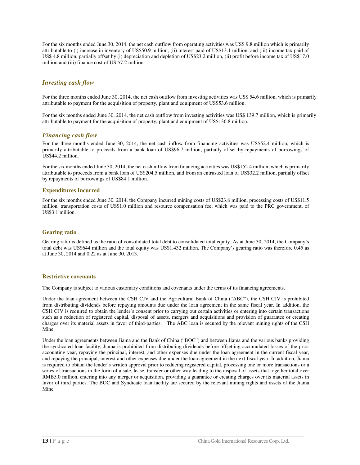For the six months ended June 30, 2014, the net cash outflow from operating activities was US\$ 9.8 million which is primarily attributable to (i) increase in inventory of US\$50.9 million, (ii) interest paid of US\$13.1 million, and (iii) income tax paid of US\$ 4.8 million, partially offset by (i) depreciation and depletion of US\$23.2 million, (ii) profit before income tax of US\$17.0 million and (iii) finance cost of US \$7.2 million

### *Investing cash flow*

For the three months ended June 30, 2014, the net cash outflow from investing activities was US\$ 54.6 million, which is primarily attributable to payment for the acquisition of property, plant and equipment of US\$53.6 million.

For the six months ended June 30, 2014, the net cash outflow from investing activities was US\$ 139.7 million, which is primarily attributable to payment for the acquisition of property, plant and equipment of US\$136.8 million.

#### *Financing cash flow*

For the three months ended June 30, 2014, the net cash inflow from financing activities was US\$52.4 million, which is primarily attributable to proceeds from a bank loan of US\$96.7 million, partially offset by repayments of borrowings of US\$44.2 million.

For the six months ended June 30, 2014, the net cash inflow from financing activities was US\$152.4 million, which is primarily attributable to proceeds from a bank loan of US\$204.5 million, and from an entrusted loan of US\$32.2 million, partially offset by repayments of borrowings of US\$84.1 million.

#### **Expenditures Incurred**

For the six months ended June 30, 2014, the Company incurred mining costs of US\$23.8 million, processing costs of US\$11.5 million, transportation costs of US\$1.0 million and resource compensation fee, which was paid to the PRC government, of US\$3.1 million.

#### **Gearing ratio**

Gearing ratio is defined as the ratio of consolidated total debt to consolidated total equity. As at June 30, 2014, the Company's total debt was US\$644 million and the total equity was US\$1,432 million. The Company's gearing ratio was therefore 0.45 as at June 30, 2014 and 0.22 as at June 30, 2013.

#### **Restrictive covenants**

The Company is subject to various customary conditions and covenants under the terms of its financing agreements.

Under the loan agreement between the CSH CJV and the Agricultural Bank of China ("ABC"), the CSH CJV is prohibited from distributing dividends before repaying amounts due under the loan agreement in the same fiscal year. In addition, the CSH CJV is required to obtain the lender's consent prior to carrying out certain activities or entering into certain transactions such as a reduction of registered capital, disposal of assets, mergers and acquisitions and provision of guarantee or creating charges over its material assets in favor of third-parties. The ABC loan is secured by the relevant mining rights of the CSH Mine.

Under the loan agreements between Jiama and the Bank of China ("BOC") and between Jiama and the various banks providing the syndicated loan facility, Jiama is prohibited from distributing dividends before offsetting accumulated losses of the prior accounting year, repaying the principal, interest, and other expenses due under the loan agreement in the current fiscal year, and repaying the principal, interest and other expenses due under the loan agreement in the next fiscal year. In addition, Jiama is required to obtain the lender's written approval prior to reducing registered capital, processing one or more transactions or a series of transactions in the form of a sale, lease, transfer or other way leading to the disposal of assets that together total over RMB5.0 million, entering into any merger or acquisition, providing a guarantee or creating charges over its material assets in favor of third parties. The BOC and Syndicate loan facility are secured by the relevant mining rights and assets of the Jiama Mine.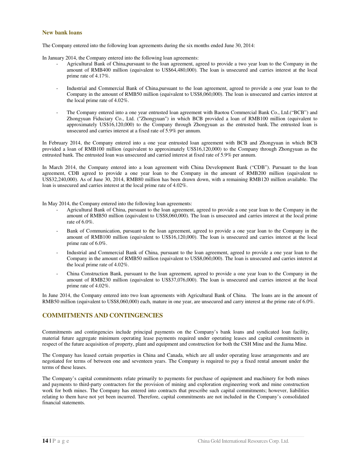#### **New bank loans**

The Company entered into the following loan agreements during the six months ended June 30, 2014:

In January 2014, the Company entered into the following loan agreements:

- Agricultural Bank of China,pursuant to the loan agreement, agreed to provide a two year loan to the Company in the amount of RMB400 million (equivalent to US\$64,480,000). The loan is unsecured and carries interest at the local prime rate of 4.17%.
- Industrial and Commercial Bank of China,pursuant to the loan agreement, agreed to provide a one year loan to the Company in the amount of RMB50 million (equivalent to US\$8,060,000). The loan is unsecured and carries interest at the local prime rate of 4.02%.
- The Company entered into a one year entrusted loan agreement with Baotou Commercial Bank Co., Ltd.("BCB") and Zhongyuan Fiduciary Co., Ltd. ("Zhongyuan") in which BCB provided a loan of RMB100 million (equivalent to approximately US\$16,120,000) to the Company through Zhongyuan as the entrusted bank. The entrusted loan is unsecured and carries interest at a fixed rate of 5.9% per annum.

In February 2014, the Company entered into a one year entrusted loan agreement with BCB and Zhongyuan in which BCB provided a loan of RMB100 million (equivalent to approximately US\$16,120,000) to the Company through Zhongyuan as the entrusted bank. The entrusted loan was unsecured and carried interest at fixed rate of 5.9% per annum.

In March 2014, the Company entered into a loan agreement with China Development Bank ("CDB"). Pursuant to the loan agreement, CDB agreed to provide a one year loan to the Company in the amount of RMB200 million (equivalent to US\$32,240,000). As of June 30, 2014, RMB80 million has been drawn down, with a remaining RMB120 million available. The loan is unsecured and carries interest at the local prime rate of 4.02%.

In May 2014, the Company entered into the following loan agreements:

- Agricultural Bank of China, pursuant to the loan agreement, agreed to provide a one year loan to the Company in the amount of RMB50 million (equivalent to US\$8,060,000). The loan is unsecured and carries interest at the local prime rate of 6.0%.
- Bank of Communication, pursuant to the loan agreement, agreed to provide a one year loan to the Company in the amount of RMB100 million (equivalent to US\$16,120,000). The loan is unsecured and carries interest at the local prime rate of 6.0%.
- Industrial and Commercial Bank of China, pursuant to the loan agreement, agreed to provide a one year loan to the Company in the amount of RMB50 million (equivalent to US\$8,060,000). The loan is unsecured and carries interest at the local prime rate of 4.02%.
- China Construction Bank, pursuant to the loan agreement, agreed to provide a one year loan to the Company in the amount of RMB230 million (equivalent to US\$37,076,000). The loan is unsecured and carries interest at the local prime rate of 4.02%.

In June 2014, the Company entered into two loan agreements with Agricultural Bank of China. The loans are in the amount of RMB50 million (equivalent to US\$8,060,000) each, mature in one year, are unsecured and carry interest at the prime rate of 6.0%.

#### **COMMITMENTS AND CONTINGENCIES**

Commitments and contingencies include principal payments on the Company's bank loans and syndicated loan facility, material future aggregate minimum operating lease payments required under operating leases and capital commitments in respect of the future acquisition of property, plant and equipment and construction for both the CSH Mine and the Jiama Mine.

The Company has leased certain properties in China and Canada, which are all under operating lease arrangements and are negotiated for terms of between one and seventeen years. The Company is required to pay a fixed rental amount under the terms of these leases.

The Company's capital commitments relate primarily to payments for purchase of equipment and machinery for both mines and payments to third-party contractors for the provision of mining and exploration engineering work and mine construction work for both mines. The Company has entered into contracts that prescribe such capital commitments; however, liabilities relating to them have not yet been incurred. Therefore, capital commitments are not included in the Company's consolidated financial statements.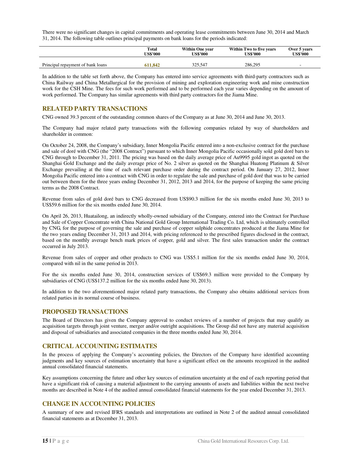There were no significant changes in capital commitments and operating lease commitments between June 30, 2014 and March 31, 2014. The following table outlines principal payments on bank loans for the periods indicated:

|                                   | Total    | <b>Within One year</b> | Within Two to five years | Over 5 years    |
|-----------------------------------|----------|------------------------|--------------------------|-----------------|
|                                   | US\$'000 | <b>US\$'000</b>        | US\$'000                 | <b>US\$'000</b> |
| Principal repayment of bank loans | 611.842  | 325.547                | 286.295                  |                 |

In addition to the table set forth above, the Company has entered into service agreements with third-party contractors such as China Railway and China Metallurgical for the provision of mining and exploration engineering work and mine construction work for the CSH Mine. The fees for such work performed and to be performed each year varies depending on the amount of work performed. The Company has similar agreements with third party contractors for the Jiama Mine.

#### **RELATED PARTY TRANSACTIONS**

CNG owned 39.3 percent of the outstanding common shares of the Company as at June 30, 2014 and June 30, 2013.

The Company had major related party transactions with the following companies related by way of shareholders and shareholder in common:

On October 24, 2008, the Company's subsidiary, Inner Mongolia Pacific entered into a non-exclusive contract for the purchase and sale of doré with CNG (the "2008 Contract") pursuant to which Inner Mongolia Pacific occasionally sold gold doré bars to CNG through to December 31, 2011. The pricing was based on the daily average price of Au9995 gold ingot as quoted on the Shanghai Gold Exchange and the daily average price of No. 2 silver as quoted on the Shanghai Huatong Platinum & Silver Exchange prevailing at the time of each relevant purchase order during the contract period. On January 27, 2012, Inner Mongolia Pacific entered into a contract with CNG in order to regulate the sale and purchase of gold doré that was to be carried out between them for the three years ending December 31, 2012, 2013 and 2014, for the purpose of keeping the same pricing terms as the 2008 Contract.

Revenue from sales of gold doré bars to CNG decreased from US\$90.3 million for the six months ended June 30, 2013 to US\$59.6 million for the six months ended June 30, 2014.

On April 26, 2013, Huatailong, an indirectly wholly-owned subsidiary of the Company, entered into the Contract for Purchase and Sale of Copper Concentrate with China National Gold Group International Trading Co. Ltd, which is ultimately controlled by CNG, for the purpose of governing the sale and purchase of copper sulphide concentrates produced at the Jiama Mine for the two years ending December 31, 2013 and 2014, with pricing referenced to the prescribed figures disclosed in the contract, based on the monthly average bench mark prices of copper, gold and silver. The first sales transaction under the contract occurred in July 2013.

Revenue from sales of copper and other products to CNG was US\$5.1 million for the six months ended June 30, 2014, compared with nil in the same period in 2013.

For the six months ended June 30, 2014, construction services of US\$69.3 million were provided to the Company by subsidiaries of CNG (US\$137.2 million for the six months ended June 30, 2013).

In addition to the two aforementioned major related party transactions, the Company also obtains additional services from related parties in its normal course of business.

#### **PROPOSED TRANSACTIONS**

The Board of Directors has given the Company approval to conduct reviews of a number of projects that may qualify as acquisition targets through joint venture, merger and/or outright acquisitions. The Group did not have any material acquisition and disposal of subsidiaries and associated companies in the three months ended June 30, 2014.

#### **CRITICAL ACCOUNTING ESTIMATES**

In the process of applying the Company's accounting policies, the Directors of the Company have identified accounting judgments and key sources of estimation uncertainty that have a significant effect on the amounts recognized in the audited annual consolidated financial statements.

Key assumptions concerning the future and other key sources of estimation uncertainty at the end of each reporting period that have a significant risk of causing a material adjustment to the carrying amounts of assets and liabilities within the next twelve months are described in Note 4 of the audited annual consolidated financial statements for the year ended December 31, 2013.

### **CHANGE IN ACCOUNTING POLICIES**

A summary of new and revised IFRS standards and interpretations are outlined in Note 2 of the audited annual consolidated financial statements as at December 31, 2013.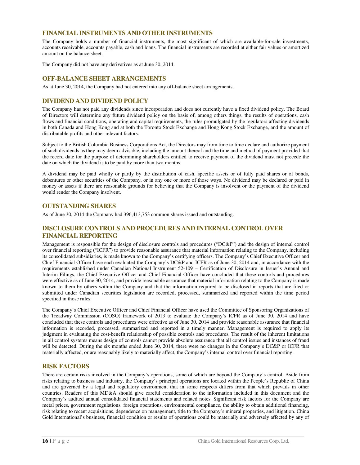### **FINANCIAL INSTRUMENTS AND OTHER INSTRUMENTS**

The Company holds a number of financial instruments, the most significant of which are available-for-sale investments, accounts receivable, accounts payable, cash and loans. The financial instruments are recorded at either fair values or amortized amount on the balance sheet.

The Company did not have any derivatives as at June 30, 2014.

### **OFF-BALANCE SHEET ARRANGEMENTS**

As at June 30, 2014, the Company had not entered into any off-balance sheet arrangements.

### **DIVIDEND AND DIVIDEND POLICY**

The Company has not paid any dividends since incorporation and does not currently have a fixed dividend policy. The Board of Directors will determine any future dividend policy on the basis of, among others things, the results of operations, cash flows and financial conditions, operating and capital requirements, the rules promulgated by the regulators affecting dividends in both Canada and Hong Kong and at both the Toronto Stock Exchange and Hong Kong Stock Exchange, and the amount of distributable profits and other relevant factors.

Subject to the British Columbia Business Corporations Act, the Directors may from time to time declare and authorize payment of such dividends as they may deem advisable, including the amount thereof and the time and method of payment provided that the record date for the purpose of determining shareholders entitled to receive payment of the dividend must not precede the date on which the dividend is to be paid by more than two months.

A dividend may be paid wholly or partly by the distribution of cash, specific assets or of fully paid shares or of bonds, debentures or other securities of the Company, or in any one or more of those ways. No dividend may be declared or paid in money or assets if there are reasonable grounds for believing that the Company is insolvent or the payment of the dividend would render the Company insolvent.

#### **OUTSTANDING SHARES**

As of June 30, 2014 the Company had 396,413,753 common shares issued and outstanding.

### **DISCLOSURE CONTROLS AND PROCEDURES AND INTERNAL CONTROL OVER FINANCIAL REPORTING**

Management is responsible for the design of disclosure controls and procedures ("DC&P") and the design of internal control over financial reporting ("ICFR") to provide reasonable assurance that material information relating to the Company, including its consolidated subsidiaries, is made known to the Company's certifying officers. The Company's Chief Executive Officer and Chief Financial Officer have each evaluated the Company's DC&P and ICFR as of June 30, 2014 and, in accordance with the requirements established under Canadian National Instrument 52-109 – Certification of Disclosure in Issuer's Annual and Interim Filings, the Chief Executive Officer and Chief Financial Officer have concluded that these controls and procedures were effective as of June 30, 2014, and provide reasonable assurance that material information relating to the Company is made known to them by others within the Company and that the information required to be disclosed in reports that are filed or submitted under Canadian securities legislation are recorded, processed, summarized and reported within the time period specified in those rules.

The Company's Chief Executive Officer and Chief Financial Officer have used the Committee of Sponsoring Organizations of the Treadway Commission (COSO) framework of 2013 to evaluate the Company's ICFR as of June 30, 2014 and have concluded that these controls and procedures were effective as of June 30, 2014 and provide reasonable assurance that financial information is recorded, processed, summarized and reported in a timely manner. Management is required to apply its judgment in evaluating the cost-benefit relationship of possible controls and procedures. The result of the inherent limitations in all control systems means design of controls cannot provide absolute assurance that all control issues and instances of fraud will be detected. During the six months ended June 30, 2014, there were no changes in the Company's DC&P or ICFR that materially affected, or are reasonably likely to materially affect, the Company's internal control over financial reporting.

#### **RISK FACTORS**

There are certain risks involved in the Company's operations, some of which are beyond the Company's control. Aside from risks relating to business and industry, the Company's principal operations are located within the People's Republic of China and are governed by a legal and regulatory environment that in some respects differs from that which prevails in other countries. Readers of this MD&A should give careful consideration to the information included in this document and the Company's audited annual consolidated financial statements and related notes. Significant risk factors for the Company are metal prices, government regulations, foreign operations, environmental compliance, the ability to obtain additional financing, risk relating to recent acquisitions, dependence on management, title to the Company's mineral properties, and litigation. China Gold International's business, financial condition or results of operations could be materially and adversely affected by any of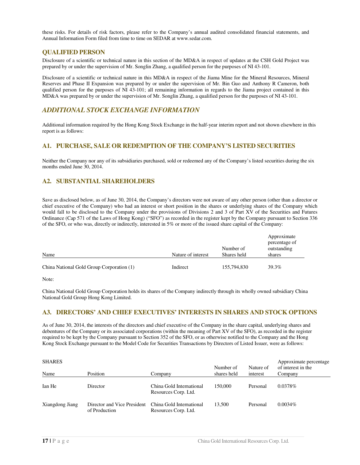these risks. For details of risk factors, please refer to the Company's annual audited consolidated financial statements, and Annual Information Form filed from time to time on SEDAR at www.sedar.com.

#### **QUALIFIED PERSON**

Disclosure of a scientific or technical nature in this section of the MD&A in respect of updates at the CSH Gold Project was prepared by or under the supervision of Mr. Songlin Zhang, a qualified person for the purposes of NI 43-101.

Disclosure of a scientific or technical nature in this MD&A in respect of the Jiama Mine for the Mineral Resources, Mineral Reserves and Phase II Expansion was prepared by or under the supervision of Mr. Bin Guo and Anthony R Cameron, both qualified person for the purposes of NI 43-101; all remaining information in regards to the Jiama project contained in this MD&A was prepared by or under the supervision of Mr. Songlin Zhang, a qualified person for the purposes of NI 43-101.

### *ADDITIONAL STOCK EXCHANGE INFORMATION*

Additional information required by the Hong Kong Stock Exchange in the half-year interim report and not shown elsewhere in this report is as follows:

### **A1. PURCHASE, SALE OR REDEMPTION OF THE COMPANY'S LISTED SECURITIES**

Neither the Company nor any of its subsidiaries purchased, sold or redeemed any of the Company's listed securities during the six months ended June 30, 2014.

### **A2. SUBSTANTIAL SHAREHOLDERS**

Save as disclosed below, as of June 30, 2014, the Company's directors were not aware of any other person (other than a director or chief executive of the Company) who had an interest or short position in the shares or underlying shares of the Company which would fall to be disclosed to the Company under the provisions of Divisions 2 and 3 of Part XV of the Securities and Futures Ordinance (Cap 571 of the Laws of Hong Kong) ("SFO") as recorded in the register kept by the Company pursuant to Section 336 of the SFO, or who was, directly or indirectly, interested in 5% or more of the issued share capital of the Company:

| Name                                      | Nature of interest | Number of<br>Shares held | Approximate<br>percentage of<br>outstanding<br>shares |
|-------------------------------------------|--------------------|--------------------------|-------------------------------------------------------|
| China National Gold Group Corporation (1) | Indirect           | 155,794,830              | 39.3%                                                 |

Note:

China National Gold Group Corporation holds its shares of the Company indirectly through its wholly owned subsidiary China National Gold Group Hong Kong Limited.

#### **A3. DIRECTORS' AND CHIEF EXECUTIVES' INTERESTS IN SHARES AND STOCK OPTIONS**

As of June 30, 2014, the interests of the directors and chief executive of the Company in the share capital, underlying shares and debentures of the Company or its associated corporations (within the meaning of Part XV of the SFO), as recorded in the register required to be kept by the Company pursuant to Section 352 of the SFO, or as otherwise notified to the Company and the Hong Kong Stock Exchange pursuant to the Model Code for Securities Transactions by Directors of Listed Issuer, were as follows:

| <b>SHARES</b>   |                                              |                                                  | Number of   | Nature of | Approximate percentage<br>of interest in the |
|-----------------|----------------------------------------------|--------------------------------------------------|-------------|-----------|----------------------------------------------|
| Name            | Position                                     | Company                                          | shares held | interest  | Company                                      |
| Ian He          | Director                                     | China Gold International<br>Resources Corp. Ltd. | 150,000     | Personal  | 0.0378\%                                     |
| Xiangdong Jiang | Director and Vice President<br>of Production | China Gold International<br>Resources Corp. Ltd. | 13.500      | Personal  | $0.0034\%$                                   |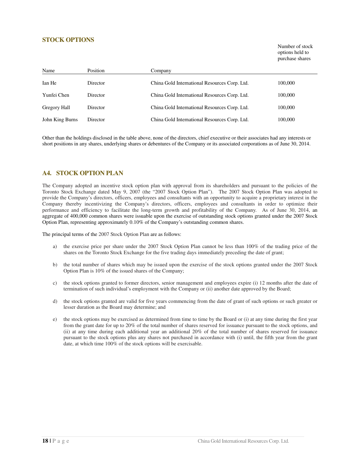### **STOCK OPTIONS**

Number of stock options held to purchase shares

| Name                | Position | Company                                       |         |
|---------------------|----------|-----------------------------------------------|---------|
| Ian He              | Director | China Gold International Resources Corp. Ltd. | 100,000 |
| Yunfei Chen         | Director | China Gold International Resources Corp. Ltd. | 100,000 |
| <b>Gregory Hall</b> | Director | China Gold International Resources Corp. Ltd. | 100,000 |
| John King Burns     | Director | China Gold International Resources Corp. Ltd. | 100,000 |

Other than the holdings disclosed in the table above, none of the directors, chief executive or their associates had any interests or short positions in any shares, underlying shares or debentures of the Company or its associated corporations as of June 30, 2014.

### **A4. STOCK OPTION PLAN**

The Company adopted an incentive stock option plan with approval from its shareholders and pursuant to the policies of the Toronto Stock Exchange dated May 9, 2007 (the "2007 Stock Option Plan"). The 2007 Stock Option Plan was adopted to provide the Company's directors, officers, employees and consultants with an opportunity to acquire a proprietary interest in the Company thereby incentivizing the Company's directors, officers, employees and consultants in order to optimize their performance and efficiency to facilitate the long-term growth and profitability of the Company. As of June 30, 2014, an aggregate of 400,000 common shares were issuable upon the exercise of outstanding stock options granted under the 2007 Stock Option Plan, representing approximately 0.10% of the Company's outstanding common shares.

The principal terms of the 2007 Stock Option Plan are as follows:

- a) the exercise price per share under the 2007 Stock Option Plan cannot be less than 100% of the trading price of the shares on the Toronto Stock Exchange for the five trading days immediately preceding the date of grant;
- b) the total number of shares which may be issued upon the exercise of the stock options granted under the 2007 Stock Option Plan is 10% of the issued shares of the Company;
- c) the stock options granted to former directors, senior management and employees expire (i) 12 months after the date of termination of such individual's employment with the Company or (ii) another date approved by the Board;
- d) the stock options granted are valid for five years commencing from the date of grant of such options or such greater or lesser duration as the Board may determine; and
- e) the stock options may be exercised as determined from time to time by the Board or  $(i)$  at any time during the first year from the grant date for up to 20% of the total number of shares reserved for issuance pursuant to the stock options, and (ii) at any time during each additional year an additional 20% of the total number of shares reserved for issuance pursuant to the stock options plus any shares not purchased in accordance with (i) until, the fifth year from the grant date, at which time 100% of the stock options will be exercisable.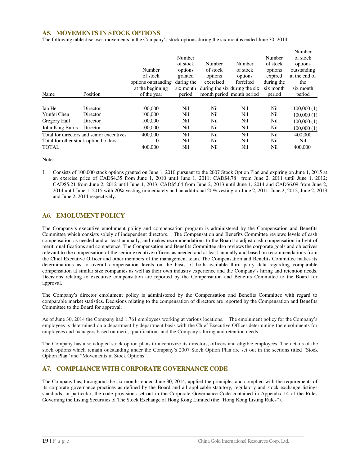### **A5. MOVEMENTS IN STOCK OPTIONS**

The following table discloses movements in the Company's stock options during the six months ended June 30, 2014:

|                                      |                                           |                     |            |           |                               |            | Number        |
|--------------------------------------|-------------------------------------------|---------------------|------------|-----------|-------------------------------|------------|---------------|
|                                      |                                           |                     | Number     |           |                               | Number     | of stock      |
|                                      |                                           |                     | of stock   | Number    | Number                        | of stock   | options       |
|                                      |                                           | Number              | options    | of stock  | of stock                      | options    | outstanding   |
|                                      |                                           | of stock            | granted    | options   | options                       | expired    | at the end of |
|                                      |                                           | options outstanding | during the | exercised | forfeited                     | during the | the           |
|                                      |                                           | at the beginning    | six month  |           | during the six during the six | six month  | six month     |
| Name                                 | Position                                  | of the year         | period     |           | month period month period     | period     | period        |
|                                      |                                           |                     |            |           |                               |            |               |
| Ian He                               | Director                                  | 100,000             | Nil        | Nil       | Nil                           | Nil        | 100,000(1)    |
| Yunfei Chen                          | Director                                  | 100,000             | Nil        | Nil       | Nil                           | Nil        | 100,000(1)    |
| Gregory Hall                         | Director                                  | 100,000             | Nil        | Nil       | Nil                           | Nil        | 100,000(1)    |
| John King Burns                      | Director                                  | 100,000             | Nil        | Nil       | Nil                           | Nil        | 100,000(1)    |
|                                      | Total for directors and senior executives | 400,000             | Nil        | Nil       | Nil                           | Nil        | 400,000       |
| Total for other stock option holders |                                           | $\Omega$            | Nil        | Nil       | Nil                           | Nil        | Nil           |
| <b>TOTAL</b>                         |                                           | 400,000             | Nil        | Nil       | Nil                           | Nil        | 400,000       |

Notes:

1. Consists of 100,000 stock options granted on June 1, 2010 pursuant to the 2007 Stock Option Plan and expiring on June 1, 2015 at an exercise price of CAD\$4.35 from June 1, 2010 until June 1, 2011; CAD\$4.78 from June 2, 2011 until June 1, 2012; CAD\$5.21 from June 2, 2012 until June 1, 2013; CAD\$5.64 from June 2, 2013 until June 1, 2014 and CAD\$6.09 from June 2, 2014 until June 1, 2015 with 20% vesting immediately and an additional 20% vesting on June 2, 2011, June 2, 2012, June 2, 2013 and June 2, 2014 respectively.

#### **A6. EMOLUMENT POLICY**

The Company's executive emolument policy and compensation program is administered by the Compensation and Benefits Committee which consists solely of independent directors. The Compensation and Benefits Committee reviews levels of cash compensation as needed and at least annually, and makes recommendations to the Board to adjust cash compensation in light of merit, qualifications and competence. The Compensation and Benefits Committee also reviews the corporate goals and objectives relevant to the compensation of the senior executive officers as needed and at least annually and based on recommendations from the Chief Executive Officer and other members of the management team. The Compensation and Benefits Committee makes its determinations as to overall compensation levels on the basis of both available third party data regarding comparable compensation at similar size companies as well as their own industry experience and the Company's hiring and retention needs. Decisions relating to executive compensation are reported by the Compensation and Benefits Committee to the Board for approval.

The Company's director emolument policy is administered by the Compensation and Benefits Committee with regard to comparable market statistics. Decisions relating to the compensation of directors are reported by the Compensation and Benefits Committee to the Board for approval.

As of June 30, 2014 the Company had 1,761 employees working at various locations. The emolument policy for the Company's employees is determined on a department by department basis with the Chief Executive Officer determining the emoluments for employees and managers based on merit, qualifications and the Company's hiring and retention needs.

The Company has also adopted stock option plans to incentivize its directors, officers and eligible employees. The details of the stock options which remain outstanding under the Company's 2007 Stock Option Plan are set out in the sections titled "Stock Option Plan" and "Movements in Stock Options".

### **A7. COMPLIANCE WITH CORPORATE GOVERNANCE CODE**

The Company has, throughout the six months ended June 30, 2014, applied the principles and complied with the requirements of its corporate governance practices as defined by the Board and all applicable statutory, regulatory and stock exchange listings standards, in particular, the code provisions set out in the Corporate Governance Code contained in Appendix 14 of the Rules Governing the Listing Securities of The Stock Exchange of Hong Kong Limited (the "Hong Kong Listing Rules").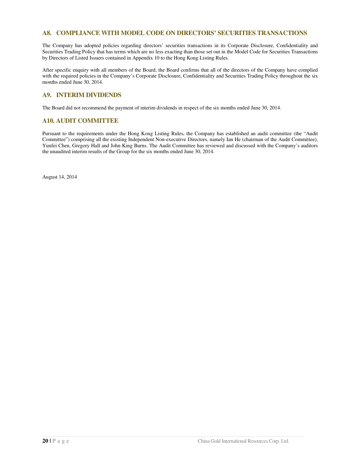### **A8. COMPLIANCE WITH MODEL CODE ON DIRECTORS' SECURITIES TRANSACTIONS**

The Company has adopted policies regarding directors' securities transactions in its Corporate Disclosure, Confidentiality and Securities Trading Policy that has terms which are no less exacting than those set out in the Model Code for Securities Transactions by Directors of Listed Issuers contained in Appendix 10 to the Hong Kong Listing Rules.

After specific enquiry with all members of the Board, the Board confirms that all of the directors of the Company have complied with the required policies in the Company's Corporate Disclosure, Confidentiality and Securities Trading Policy throughout the six months ended June 30, 2014.

### **A9. INTERIM DIVIDENDS**

The Board did not recommend the payment of interim dividends in respect of the six months ended June 30, 2014.

#### **A10. AUDIT COMMITTEE**

Pursuant to the requirements under the Hong Kong Listing Rules, the Company has established an audit committee (the "Audit Committee") comprising all the existing Independent Non-executive Directors, namely Ian He (chairman of the Audit Committee), Yunfei Chen, Gregory Hall and John King Burns. The Audit Committee has reviewed and discussed with the Company's auditors the unaudited interim results of the Group for the six months ended June 30, 2014.

August 14, 2014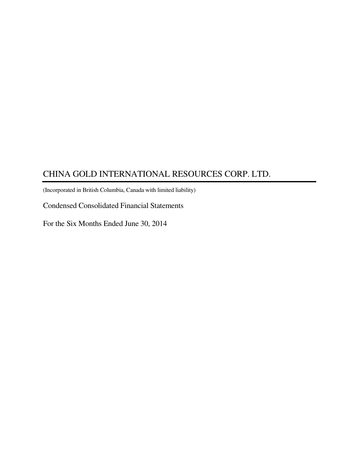(Incorporated in British Columbia, Canada with limited liability)

Condensed Consolidated Financial Statements

For the Six Months Ended June 30, 2014

ī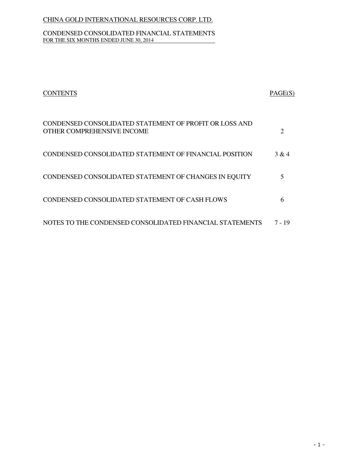### CONDENSED CONSOLIDATED FINANCIAL STATEMENTS FOR THE SIX MONTHS ENDED JUNE 30, 2014

| <b>CONTENTS</b>                                                                      | PAGE(S)        |
|--------------------------------------------------------------------------------------|----------------|
| CONDENSED CONSOLIDATED STATEMENT OF PROFIT OR LOSS AND<br>OTHER COMPREHENSIVE INCOME | $\overline{2}$ |
| CONDENSED CONSOLIDATED STATEMENT OF FINANCIAL POSITION                               | 3 & 4          |
| CONDENSED CONSOLIDATED STATEMENT OF CHANGES IN EQUITY                                | 5              |
| CONDENSED CONSOLIDATED STATEMENT OF CASH FLOWS                                       | 6              |
| NOTES TO THE CONDENSED CONSOLIDATED FINANCIAL STATEMENTS                             | 7 - 19         |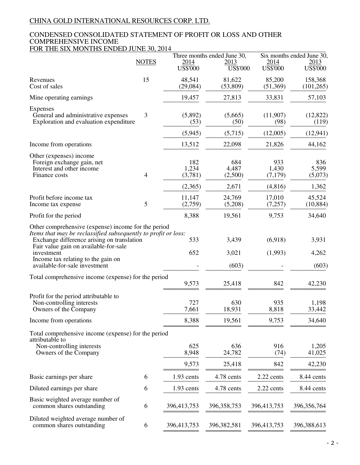### CONDENSED CONSOLIDATED STATEMENT OF PROFIT OR LOSS AND OTHER COMPREHENSIVE INCOME FOR THE SIX MONTHS ENDED JUNE 30, 2014

|                                                                                                                                                                                                                                                                                                   | Three months ended June 30, |                         |                         | Six months ended June 30, |                           |
|---------------------------------------------------------------------------------------------------------------------------------------------------------------------------------------------------------------------------------------------------------------------------------------------------|-----------------------------|-------------------------|-------------------------|---------------------------|---------------------------|
|                                                                                                                                                                                                                                                                                                   | <b>NOTES</b>                | 2014<br><b>US\$'000</b> | 2013<br><b>US\$'000</b> | 2014<br>US\$'000          | 2013<br><b>US\$'000</b>   |
| Revenues<br>Cost of sales                                                                                                                                                                                                                                                                         | 15                          | 48,541<br>(29,084)      | 81,622<br>(53,809)      | 85,200<br>(51, 369)       | 158,368<br>(101, 265)     |
| Mine operating earnings                                                                                                                                                                                                                                                                           |                             | 19,457                  | 27,813                  | 33,831                    | 57,103                    |
| <b>Expenses</b><br>General and administrative expenses<br>Exploration and evaluation expenditure                                                                                                                                                                                                  | $\mathfrak{Z}$              | (5,892)<br>(53)         | (5,665)<br>(50)         | (11,907)<br>(98)          | (12,822)<br>(119)         |
|                                                                                                                                                                                                                                                                                                   |                             | (5,945)                 | (5,715)                 | (12,005)                  | (12, 941)                 |
| Income from operations                                                                                                                                                                                                                                                                            |                             | 13,512                  | 22,098                  | 21,826                    | 44,162                    |
| Other (expenses) income<br>Foreign exchange gain, net<br>Interest and other income<br>Finance costs                                                                                                                                                                                               | 4                           | 182<br>1,234<br>(3,781) | 684<br>4,487<br>(2,500) | 933<br>1,430<br>(7,179)   | 836<br>5,599<br>(5,073)   |
|                                                                                                                                                                                                                                                                                                   |                             | (2,365)                 | 2,671                   | (4, 816)                  | 1,362                     |
| Profit before income tax<br>Income tax expense                                                                                                                                                                                                                                                    | 5                           | 11,147<br>(2,759)       | 24,769<br>(5,208)       | 17,010<br>(7,257)         | 45,524<br>(10, 884)       |
| Profit for the period                                                                                                                                                                                                                                                                             |                             | 8,388                   | 19,561                  | 9,753                     | 34,640                    |
| Other comprehensive (expense) income for the period<br>Items that may be reclassified subsequently to profit or loss:<br>Exchange difference arising on translation<br>Fair value gain on available-for-sale<br>investment<br>Income tax relating to the gain on<br>available-for-sale investment |                             | 533<br>652              | 3,439<br>3,021<br>(603) | (6,918)<br>(1,993)        | 3,931<br>4,262<br>(603)   |
| Total comprehensive income (expense) for the period                                                                                                                                                                                                                                               |                             |                         |                         |                           |                           |
|                                                                                                                                                                                                                                                                                                   |                             | 9,573                   | 25,418                  | 842                       | 42,230                    |
| Profit for the period attributable to<br>Non-controlling interests<br>Owners of the Company                                                                                                                                                                                                       |                             | 727<br>7,661            | 630<br>18,931           | 935<br>8,818              | 1,198<br>33,442           |
| Income from operations                                                                                                                                                                                                                                                                            |                             | 8,388                   | 19,561                  | 9,753                     | 34,640                    |
| Total comprehensive income (expense) for the period<br>attributable to<br>Non-controlling interests<br>Owners of the Company                                                                                                                                                                      |                             | 625<br>8,948<br>9,573   | 636<br>24,782<br>25,418 | 916<br>(74)<br>842        | 1,205<br>41,025<br>42,230 |
| Basic earnings per share                                                                                                                                                                                                                                                                          | 6                           | 1.93 cents              | 4.78 cents              | 2.22 cents                | 8.44 cents                |
| Diluted earnings per share                                                                                                                                                                                                                                                                        | 6                           | 1.93 cents              | 4.78 cents              | 2.22 cents                | 8.44 cents                |
| Basic weighted average number of<br>common shares outstanding                                                                                                                                                                                                                                     | 6                           | 396,413,753             | 396, 358, 753           | 396,413,753               | 396,356,764               |
| Diluted weighted average number of<br>common shares outstanding                                                                                                                                                                                                                                   | 6                           | 396,413,753             | 396, 382, 581           | 396,413,753               | 396,388,613               |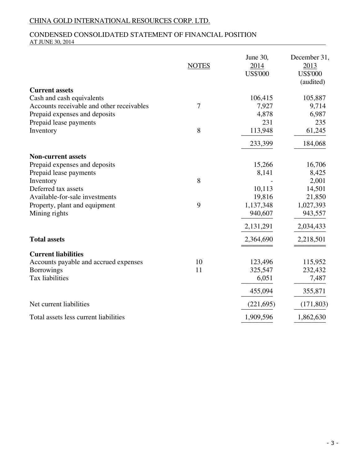### CONDENSED CONSOLIDATED STATEMENT OF FINANCIAL POSITION AT JUNE 30, 2014

|                                           | <b>NOTES</b> | June 30,<br>2014<br><b>US\$'000</b> | December 31,<br>2013<br><b>US\$'000</b><br>(audited) |
|-------------------------------------------|--------------|-------------------------------------|------------------------------------------------------|
| <b>Current assets</b>                     |              |                                     |                                                      |
| Cash and cash equivalents                 |              | 106,415                             | 105,887                                              |
| Accounts receivable and other receivables | $\tau$       | 7,927                               | 9,714                                                |
| Prepaid expenses and deposits             |              | 4,878<br>231                        | 6,987                                                |
| Prepaid lease payments                    | 8            |                                     | 235                                                  |
| Inventory                                 |              | 113,948                             | 61,245                                               |
|                                           |              | 233,399                             | 184,068                                              |
| <b>Non-current assets</b>                 |              |                                     |                                                      |
| Prepaid expenses and deposits             |              | 15,266                              | 16,706                                               |
| Prepaid lease payments                    |              | 8,141                               | 8,425                                                |
| Inventory                                 | 8            |                                     | 2,001                                                |
| Deferred tax assets                       |              | 10,113                              | 14,501                                               |
| Available-for-sale investments            |              | 19,816                              | 21,850                                               |
| Property, plant and equipment             | 9            | 1,137,348                           | 1,027,393                                            |
| Mining rights                             |              | 940,607                             | 943,557                                              |
|                                           |              | 2,131,291                           | 2,034,433                                            |
| <b>Total assets</b>                       |              | 2,364,690                           | 2,218,501                                            |
| <b>Current liabilities</b>                |              |                                     |                                                      |
| Accounts payable and accrued expenses     | 10           | 123,496                             | 115,952                                              |
| <b>Borrowings</b>                         | 11           | 325,547                             | 232,432                                              |
| Tax liabilities                           |              | 6,051                               | 7,487                                                |
|                                           |              | 455,094                             | 355,871                                              |
| Net current liabilities                   |              | (221, 695)                          | (171, 803)                                           |
| Total assets less current liabilities     |              | 1,909,596                           | 1,862,630                                            |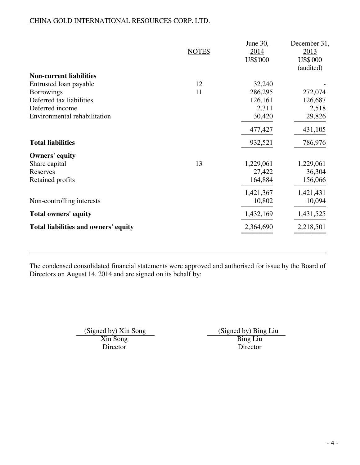|                                      | <b>NOTES</b> | June 30,<br>2014<br><b>US\$'000</b> | December 31,<br>2013<br><b>US\$'000</b><br>(audited) |
|--------------------------------------|--------------|-------------------------------------|------------------------------------------------------|
| <b>Non-current liabilities</b>       |              |                                     |                                                      |
| Entrusted loan payable               | 12           | 32,240                              |                                                      |
| <b>Borrowings</b>                    | 11           | 286,295                             | 272,074                                              |
| Deferred tax liabilities             |              | 126,161                             | 126,687                                              |
| Deferred income                      |              | 2,311                               | 2,518                                                |
| Environmental rehabilitation         |              | 30,420                              | 29,826                                               |
|                                      |              | 477,427                             | 431,105                                              |
| <b>Total liabilities</b>             |              | 932,521                             | 786,976                                              |
| <b>Owners'</b> equity                |              |                                     |                                                      |
| Share capital                        | 13           | 1,229,061                           | 1,229,061                                            |
| Reserves                             |              | 27,422                              | 36,304                                               |
| Retained profits                     |              | 164,884                             | 156,066                                              |
|                                      |              | 1,421,367                           | 1,421,431                                            |
| Non-controlling interests            |              | 10,802                              | 10,094                                               |
| <b>Total owners' equity</b>          |              | 1,432,169                           | 1,431,525                                            |
| Total liabilities and owners' equity |              | 2,364,690                           | 2,218,501                                            |
|                                      |              |                                     |                                                      |

The condensed consolidated financial statements were approved and authorised for issue by the Board of Directors on August 14, 2014 and are signed on its behalf by:

Xin Song<br>Director Bing Liu<br>Director Director Director Director

(Signed by) Xin Song<br>
Xin Song<br>
Thing Liu Bing Liu<br>
Bing Liu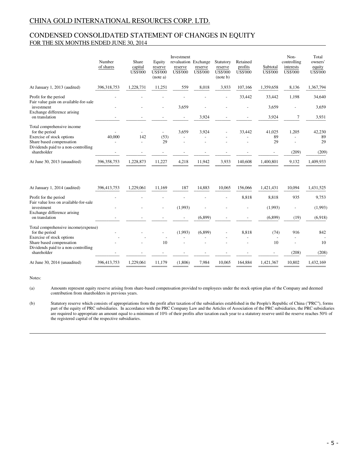### CONDENSED CONSOLIDATED STATEMENT OF CHANGES IN EQUITY FOR THE SIX MONTHS ENDED JUNE 30, 2014

|                                                                                                       | Number<br>of shares | Share<br>capital<br><b>US\$'000</b> | Equity<br>reserve<br><b>US\$'000</b><br>(note a) | Investment<br>revaluation Exchange<br>reserve<br><b>US\$'000</b> | reserve<br><b>US\$'000</b> | Statutory<br>reserve<br><b>US\$'000</b><br>(note b) | Retained<br>profits<br><b>US\$'000</b> | Subtotal<br><b>US\$'000</b> | Non-<br>controlling<br>interests<br><b>US\$'000</b> | Total<br>owners'<br>equity<br><b>US\$'000</b> |
|-------------------------------------------------------------------------------------------------------|---------------------|-------------------------------------|--------------------------------------------------|------------------------------------------------------------------|----------------------------|-----------------------------------------------------|----------------------------------------|-----------------------------|-----------------------------------------------------|-----------------------------------------------|
| At January 1, 2013 (audited)                                                                          | 396.318.753         | 1,228,731                           | 11,251                                           | 559                                                              | 8.018                      | 3,933                                               | 107,166                                | 1,359,658                   | 8,136                                               | 1,367,794                                     |
| Profit for the period<br>Fair value gain on available-for-sale                                        |                     |                                     |                                                  |                                                                  |                            |                                                     | 33,442                                 | 33,442                      | 1,198                                               | 34,640                                        |
| investment<br>Exchange difference arising<br>on translation                                           |                     |                                     |                                                  | 3,659<br>$\overline{\phantom{a}}$                                | 3,924                      |                                                     |                                        | 3,659<br>3,924              | 7                                                   | 3,659<br>3,931                                |
| Total comprehensive income<br>for the period<br>Exercise of stock options<br>Share based compensation | 40,000              | 142                                 | $\overline{\phantom{0}}$<br>(53)<br>29           | 3,659                                                            | 3,924                      |                                                     | 33,442                                 | 41,025<br>89<br>29          | 1,205<br>$\overline{a}$                             | 42,230<br>89<br>29                            |
| Dividends paid to a non-controlling<br>shareholder                                                    |                     |                                     |                                                  |                                                                  |                            |                                                     |                                        |                             | (209)                                               | (209)                                         |
| At June 30, 2013 (unaudited)                                                                          | 396, 358, 753       | 1,228,873                           | 11,227                                           | 4,218                                                            | 11,942                     | 3,933                                               | 140,608                                | 1,400,801                   | 9,132                                               | 1,409,933                                     |
| At January 1, 2014 (audited)                                                                          | 396,413,753         | 1,229,061                           | 11,169                                           | 187                                                              | 14,883                     | 10,065                                              | 156,066                                | 1,421,431                   | 10,094                                              | 1,431,525                                     |
| Profit for the period<br>Fair value loss on available-for-sale                                        |                     |                                     |                                                  |                                                                  |                            |                                                     | 8,818                                  | 8,818                       | 935                                                 | 9,753                                         |
| investment<br>Exchange difference arising                                                             |                     |                                     |                                                  | (1,993)                                                          |                            |                                                     |                                        | (1,993)                     |                                                     | (1,993)                                       |
| on translation                                                                                        |                     |                                     |                                                  |                                                                  | (6,899)                    |                                                     |                                        | (6,899)                     | (19)                                                | (6.918)                                       |
| Total comprehensive income(expense)<br>for the period                                                 |                     |                                     |                                                  | (1,993)                                                          | (6,899)                    |                                                     | 8,818                                  | (74)                        | 916                                                 | 842                                           |
| Exercise of stock options<br>Share based compensation<br>Dividends paid to a non-controlling          |                     |                                     | 10                                               |                                                                  |                            |                                                     |                                        | $\overline{a}$<br>10        |                                                     | 10                                            |
| shareholder                                                                                           |                     |                                     |                                                  |                                                                  |                            |                                                     |                                        |                             | (208)                                               | (208)                                         |
| At June 30, 2014 (unaudited)                                                                          | 396,413,753         | 1,229,061                           | 11,179                                           | (1,806)                                                          | 7,984                      | 10,065                                              | 164,884                                | 1,421,367                   | 10,802                                              | 1,432,169                                     |

Notes:

(a) Amounts represent equity reserve arising from share-based compensation provided to employees under the stock option plan of the Company and deemed contribution from shareholders in previous years.

(b) Statutory reserve which consists of appropriations from the profit after taxation of the subsidiaries established in the People's Republic of China ("PRC"), forms part of the equity of PRC subsidiaries. In accordance with the PRC Company Law and the Articles of Association of the PRC subsidiaries, the PRC subsidiaries are required to appropriate an amount equal to a minimum of 10% of their profits after taxation each year to a statutory reserve until the reserve reaches 50% of the registered capital of the respective subsidiaries.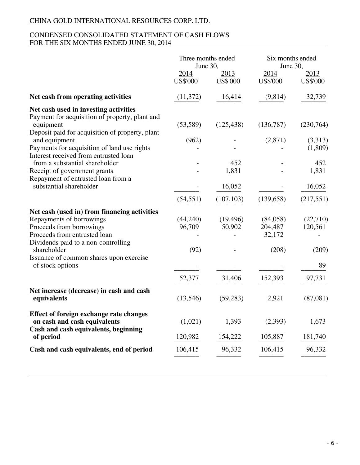### CONDENSED CONSOLIDATED STATEMENT OF CASH FLOWS FOR THE SIX MONTHS ENDED JUNE 30, 2014

|                                                                                                                                                                                                                                                           | Three months ended<br>June 30,       |                               | Six months ended<br>June 30,                      |                                              |
|-----------------------------------------------------------------------------------------------------------------------------------------------------------------------------------------------------------------------------------------------------------|--------------------------------------|-------------------------------|---------------------------------------------------|----------------------------------------------|
|                                                                                                                                                                                                                                                           | 2014<br><b>US\$'000</b>              | 2013<br><b>US\$'000</b>       | 2014<br><b>US\$'000</b>                           | 2013<br><b>US\$'000</b>                      |
| Net cash from operating activities                                                                                                                                                                                                                        | (11, 372)                            | 16,414                        | (9,814)                                           | 32,739                                       |
| Net cash used in investing activities<br>Payment for acquisition of property, plant and<br>equipment<br>Deposit paid for acquisition of property, plant                                                                                                   | (53, 589)                            | (125, 438)                    | (136,787)                                         | (230,764)                                    |
| and equipment<br>Payments for acquisition of land use rights<br>Interest received from entrusted loan                                                                                                                                                     | (962)                                |                               | (2,871)                                           | (3,313)<br>(1,809)                           |
| from a substantial shareholder<br>Receipt of government grants<br>Repayment of entrusted loan from a                                                                                                                                                      |                                      | 452<br>1,831                  |                                                   | 452<br>1,831                                 |
| substantial shareholder                                                                                                                                                                                                                                   |                                      | 16,052                        |                                                   | 16,052                                       |
|                                                                                                                                                                                                                                                           | (54, 551)                            | (107, 103)                    | (139, 658)                                        | (217, 551)                                   |
| Net cash (used in) from financing activities<br>Repayments of borrowings<br>Proceeds from borrowings<br>Proceeds from entrusted loan<br>Dividends paid to a non-controlling<br>shareholder<br>Issuance of common shares upon exercise<br>of stock options | (44,240)<br>96,709<br>(92)<br>52,377 | (19, 496)<br>50,902<br>31,406 | (84,058)<br>204,487<br>32,172<br>(208)<br>152,393 | (22,710)<br>120,561<br>(209)<br>89<br>97,731 |
| Net increase (decrease) in cash and cash<br>equivalents                                                                                                                                                                                                   | (13,546)                             | (59, 283)                     | 2,921                                             | (87,081)                                     |
| Effect of foreign exchange rate changes<br>on cash and cash equivalents<br>Cash and cash equivalents, beginning                                                                                                                                           | (1,021)<br>120,982                   | 1,393<br>154,222              | (2,393)<br>105,887                                | 1,673<br>181,740                             |
| of period<br>Cash and cash equivalents, end of period                                                                                                                                                                                                     | 106,415                              | 96,332                        | 106,415                                           | 96,332                                       |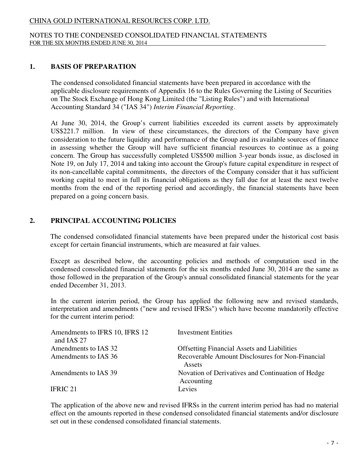### NOTES TO THE CONDENSED CONSOLIDATED FINANCIAL STATEMENTS FOR THE SIX MONTHS ENDED JUNE 30, 2014

### **1. BASIS OF PREPARATION**

 The condensed consolidated financial statements have been prepared in accordance with the applicable disclosure requirements of Appendix 16 to the Rules Governing the Listing of Securities on The Stock Exchange of Hong Kong Limited (the "Listing Rules") and with International Accounting Standard 34 ("IAS 34") *Interim Financial Reporting*.

 At June 30, 2014, the Group's current liabilities exceeded its current assets by approximately US\$221.7 million. In view of these circumstances, the directors of the Company have given consideration to the future liquidity and performance of the Group and its available sources of finance in assessing whether the Group will have sufficient financial resources to continue as a going concern. The Group has successfully completed US\$500 million 3-year bonds issue, as disclosed in Note 19, on July 17, 2014 and taking into account the Group's future capital expenditure in respect of its non-cancellable capital commitments, the directors of the Company consider that it has sufficient working capital to meet in full its financial obligations as they fall due for at least the next twelve months from the end of the reporting period and accordingly, the financial statements have been prepared on a going concern basis.

## **2. PRINCIPAL ACCOUNTING POLICIES**

 The condensed consolidated financial statements have been prepared under the historical cost basis except for certain financial instruments, which are measured at fair values.

 Except as described below, the accounting policies and methods of computation used in the condensed consolidated financial statements for the six months ended June 30, 2014 are the same as those followed in the preparation of the Group's annual consolidated financial statements for the year ended December 31, 2013.

In the current interim period, the Group has applied the following new and revised standards, interpretation and amendments ("new and revised IFRSs") which have become mandatorily effective for the current interim period:

| Amendments to IFRS 10, IFRS 12<br>and IAS 27 | <b>Investment Entities</b>                                      |
|----------------------------------------------|-----------------------------------------------------------------|
| Amendments to IAS 32                         | <b>Offsetting Financial Assets and Liabilities</b>              |
| Amendments to IAS 36                         | Recoverable Amount Disclosures for Non-Financial<br>Assets      |
| Amendments to IAS 39                         | Novation of Derivatives and Continuation of Hedge<br>Accounting |
| IFRIC 21                                     | Levies                                                          |

The application of the above new and revised IFRSs in the current interim period has had no material effect on the amounts reported in these condensed consolidated financial statements and/or disclosure set out in these condensed consolidated financial statements.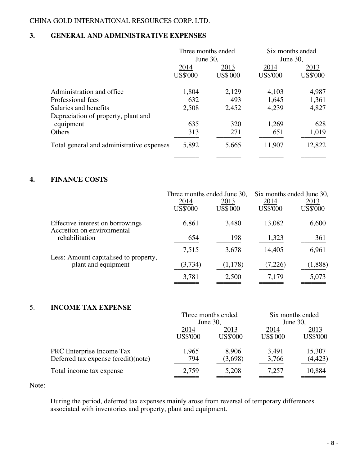# **3. GENERAL AND ADMINISTRATIVE EXPENSES**

|                                           |                 | Three months ended |                 | Six months ended |  |
|-------------------------------------------|-----------------|--------------------|-----------------|------------------|--|
|                                           | June 30,        |                    | June 30,        |                  |  |
|                                           | 2014            | 2013               | 2014            | 2013             |  |
|                                           | <b>US\$'000</b> | <b>US\$'000</b>    | <b>US\$'000</b> | <b>US\$'000</b>  |  |
| Administration and office                 | 1,804           | 2,129              | 4,103           | 4,987            |  |
| Professional fees                         | 632             | 493                | 1,645           | 1,361            |  |
| Salaries and benefits                     | 2,508           | 2,452              | 4,239           | 4,827            |  |
| Depreciation of property, plant and       |                 |                    |                 |                  |  |
| equipment                                 | 635             | 320                | 1,269           | 628              |  |
| Others                                    | 313             | 271                | 651             | 1,019            |  |
| Total general and administrative expenses | 5,892           | 5,665              | 11,907          | 12,822           |  |
|                                           |                 |                    |                 |                  |  |

# **4. FINANCE COSTS**

|                                                                |                         | Three months ended June 30, |                         | Six months ended June 30, |
|----------------------------------------------------------------|-------------------------|-----------------------------|-------------------------|---------------------------|
|                                                                | 2014<br><b>US\$'000</b> | 2013<br><b>US\$'000</b>     | 2014<br><b>US\$'000</b> | 2013<br><b>US\$'000</b>   |
| Effective interest on borrowings<br>Accretion on environmental | 6,861                   | 3,480                       | 13,082                  | 6,600                     |
| rehabilitation                                                 | 654                     | 198                         | 1,323                   | 361                       |
| Less: Amount capitalised to property,                          | 7,515                   | 3,678                       | 14,405                  | 6,961                     |
| plant and equipment                                            | (3,734)                 | (1,178)                     | (7,226)                 | (1,888)                   |
|                                                                | 3,781                   | 2,500                       | 7,179                   | 5,073                     |

# 5. **INCOME TAX EXPENSE**

|                                     | Three months ended |                 | Six months ended |                 |
|-------------------------------------|--------------------|-----------------|------------------|-----------------|
|                                     |                    | June 30,        |                  | June 30,        |
|                                     | 2014               | 2013            |                  | 2013            |
|                                     | <b>US\$'000</b>    | <b>US\$'000</b> | <b>US\$'000</b>  | <b>US\$'000</b> |
| PRC Enterprise Income Tax           | 1,965              | 8,906           | 3,491            | 15,307          |
| Deferred tax expense (credit)(note) | 794                | (3,698)         | 3,766            | (4, 423)        |
| Total income tax expense            | 2,759              | 5,208           | 7,257            | 10,884          |
|                                     |                    |                 |                  |                 |

Note:

 During the period, deferred tax expenses mainly arose from reversal of temporary differences associated with inventories and property, plant and equipment.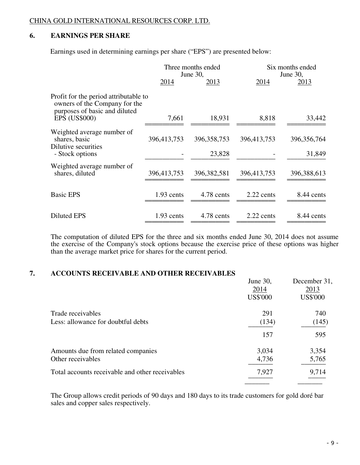# **6. EARNINGS PER SHARE**

Earnings used in determining earnings per share ("EPS") are presented below:

| Three months ended                                                              |               |                    | Six months ended<br>June 30, |
|---------------------------------------------------------------------------------|---------------|--------------------|------------------------------|
| 2014                                                                            | <u>2013</u>   | 2014               | 2013                         |
| Profit for the period attributable to<br>owners of the Company for the<br>7,661 | 18,931        | 8,818              | 33,442                       |
| 396,413,753                                                                     | 396, 358, 753 | 396,413,753        | 396, 356, 764<br>31,849      |
|                                                                                 |               |                    |                              |
| 396,413,753                                                                     | 396, 382, 581 | 396,413,753        | 396,388,613                  |
| 1.93 cents                                                                      | 4.78 cents    | $2.22$ cents       | 8.44 cents                   |
| 1.93 cents                                                                      | 4.78 cents    | 2.22 cents         | 8.44 cents                   |
|                                                                                 |               | June 30,<br>23,828 |                              |

The computation of diluted EPS for the three and six months ended June 30, 2014 does not assume the exercise of the Company's stock options because the exercise price of these options was higher than the average market price for shares for the current period.

### **7. ACCOUNTS RECEIVABLE AND OTHER RECEIVABLES**

|                                                 | June 30,<br>2014 | December 31,<br>2013 |
|-------------------------------------------------|------------------|----------------------|
|                                                 | <b>US\$'000</b>  | <b>US\$'000</b>      |
| Trade receivables                               | 291              | 740                  |
| Less: allowance for doubtful debts              | (134)            | (145)                |
|                                                 | 157              | 595                  |
| Amounts due from related companies              | 3,034            | 3,354                |
| Other receivables                               | 4,736            | 5,765                |
| Total accounts receivable and other receivables | 7,927            | 9,714                |
|                                                 |                  |                      |

 The Group allows credit periods of 90 days and 180 days to its trade customers for gold doré bar sales and copper sales respectively.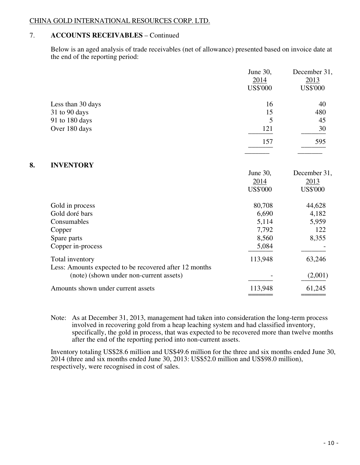# 7. **ACCOUNTS RECEIVABLES** – Continued

Below is an aged analysis of trade receivables (net of allowance) presented based on invoice date at the end of the reporting period:

|    |                                                        | June 30,<br>2014<br><b>US\$'000</b> | December 31,<br>2013<br><b>US\$'000</b> |
|----|--------------------------------------------------------|-------------------------------------|-----------------------------------------|
|    | Less than 30 days                                      | 16                                  | 40                                      |
|    | 31 to 90 days                                          | 15                                  | 480                                     |
|    | 91 to 180 days                                         | 5                                   | 45                                      |
|    | Over 180 days                                          | 121                                 | 30                                      |
|    |                                                        | 157                                 | 595                                     |
| 8. | <b>INVENTORY</b>                                       |                                     |                                         |
|    |                                                        | June 30,                            | December 31,                            |
|    |                                                        | 2014                                | 2013                                    |
|    |                                                        | <b>US\$'000</b>                     | <b>US\$'000</b>                         |
|    | Gold in process                                        | 80,708                              | 44,628                                  |
|    | Gold doré bars                                         | 6,690                               | 4,182                                   |
|    | Consumables                                            | 5,114                               | 5,959                                   |
|    | Copper                                                 | 7,792                               | 122                                     |
|    | Spare parts                                            | 8,560                               | 8,355                                   |
|    | Copper in-process                                      | 5,084                               |                                         |
|    | Total inventory                                        | 113,948                             | 63,246                                  |
|    | Less: Amounts expected to be recovered after 12 months |                                     |                                         |
|    | (note) (shown under non-current assets)                |                                     | (2,001)                                 |
|    | Amounts shown under current assets                     | 113,948                             | 61,245                                  |
|    |                                                        |                                     |                                         |

Note: As at December 31, 2013, management had taken into consideration the long-term process involved in recovering gold from a heap leaching system and had classified inventory, specifically, the gold in process, that was expected to be recovered more than twelve months after the end of the reporting period into non-current assets.

 Inventory totaling US\$28.6 million and US\$49.6 million for the three and six months ended June 30, 2014 (three and six months ended June 30, 2013: US\$52.0 million and US\$98.0 million), respectively, were recognised in cost of sales.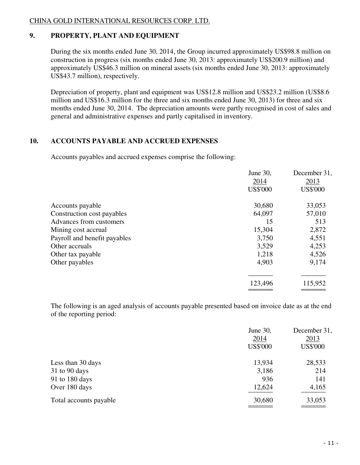# **9. PROPERTY, PLANT AND EQUIPMENT**

 During the six months ended June 30, 2014, the Group incurred approximately US\$98.8 million on construction in progress (six months ended June 30, 2013: approximately US\$200.9 million) and approximately US\$46.3 million on mineral assets (six months ended June 30, 2013: approximately US\$43.7 million), respectively.

 Depreciation of property, plant and equipment was US\$12.8 million and US\$23.2 million (US\$8.6 million and US\$16.3 million for the three and six months ended June 30, 2013) for three and six months ended June 30, 2014. The depreciation amounts were partly recognised in cost of sales and general and administrative expenses and partly capitalised in inventory.

# **10. ACCOUNTS PAYABLE AND ACCRUED EXPENSES**

Accounts payables and accrued expenses comprise the following:

|                              | June 30,        | December 31,    |
|------------------------------|-----------------|-----------------|
|                              | 2014            | 2013            |
|                              | <b>US\$'000</b> | <b>US\$'000</b> |
| Accounts payable             | 30,680          | 33,053          |
| Construction cost payables   | 64,097          | 57,010          |
| Advances from customers      | 15              | 513             |
| Mining cost accrual          | 15,304          | 2,872           |
| Payroll and benefit payables | 3,750           | 4,551           |
| Other accruals               | 3,529           | 4,253           |
| Other tax payable            | 1,218           | 4,526           |
| Other payables               | 4,903           | 9,174           |
|                              |                 |                 |
|                              | 123,496         | 115,952         |
|                              |                 |                 |

 The following is an aged analysis of accounts payable presented based on invoice date as at the end of the reporting period:

|                        | June 30,<br>2014<br><b>US\$'000</b> | December 31,<br>2013<br><b>US\$'000</b> |
|------------------------|-------------------------------------|-----------------------------------------|
| Less than 30 days      | 13,934                              | 28,533                                  |
| 31 to 90 days          | 3,186                               | 214                                     |
| 91 to 180 days         | 936                                 | 141                                     |
| Over 180 days          | 12,624                              | 4,165                                   |
| Total accounts payable | 30,680                              | 33,053                                  |
|                        |                                     |                                         |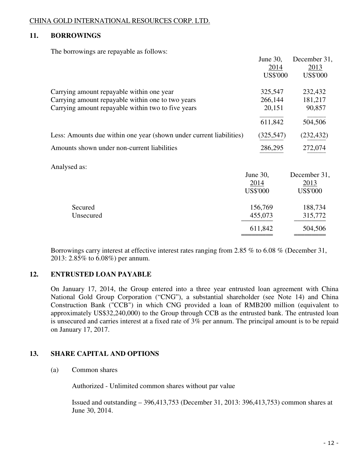# **11. BORROWINGS**

The borrowings are repayable as follows:

|                                                                     | June 30,        | December 31,    |
|---------------------------------------------------------------------|-----------------|-----------------|
|                                                                     | 2014            | 2013            |
|                                                                     | <b>US\$'000</b> | <b>US\$'000</b> |
| Carrying amount repayable within one year                           | 325,547         | 232,432         |
| Carrying amount repayable within one to two years                   | 266,144         | 181,217         |
| Carrying amount repayable within two to five years                  | 20,151          | 90,857          |
|                                                                     | 611,842         | 504,506         |
| Less: Amounts due within one year (shown under current liabilities) | (325, 547)      | (232, 432)      |
| Amounts shown under non-current liabilities                         | 286,295         | 272,074         |
| Analysed as:                                                        |                 |                 |
|                                                                     | June 30,        | December 31,    |
|                                                                     | 2014            | 2013            |
|                                                                     | <b>US\$'000</b> | <b>US\$'000</b> |
| Secured                                                             | 156,769         | 188,734         |
| Unsecured                                                           | 455,073         | 315,772         |
|                                                                     | 611,842         | 504,506         |
|                                                                     |                 |                 |

Borrowings carry interest at effective interest rates ranging from 2.85 % to 6.08 % (December 31, 2013: 2.85% to 6.08%) per annum.

# **12. ENTRUSTED LOAN PAYABLE**

On January 17, 2014, the Group entered into a three year entrusted loan agreement with China National Gold Group Corporation ("CNG"), a substantial shareholder (see Note 14) and China Construction Bank ("CCB") in which CNG provided a loan of RMB200 million (equivalent to approximately US\$32,240,000) to the Group through CCB as the entrusted bank. The entrusted loan is unsecured and carries interest at a fixed rate of 3% per annum. The principal amount is to be repaid on January 17, 2017.

# **13. SHARE CAPITAL AND OPTIONS**

### (a) Common shares

Authorized - Unlimited common shares without par value

 Issued and outstanding – 396,413,753 (December 31, 2013: 396,413,753) common shares at June 30, 2014.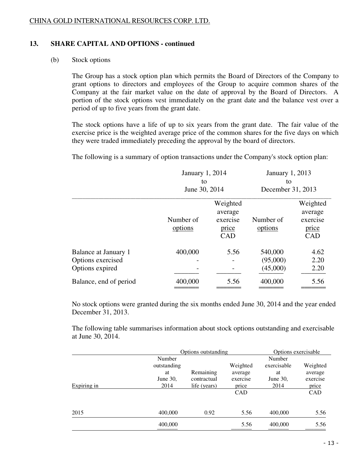# **13. SHARE CAPITAL AND OPTIONS - continued**

# (b) Stock options

 The Group has a stock option plan which permits the Board of Directors of the Company to grant options to directors and employees of the Group to acquire common shares of the Company at the fair market value on the date of approval by the Board of Directors. A portion of the stock options vest immediately on the grant date and the balance vest over a period of up to five years from the grant date.

The stock options have a life of up to six years from the grant date. The fair value of the exercise price is the weighted average price of the common shares for the five days on which they were traded immediately preceding the approval by the board of directors.

The following is a summary of option transactions under the Company's stock option plan:

|                                                              | January 1, 2014<br>to<br>June 30, 2014 |                                                        | January 1, 2013<br>to<br>December 31, 2013 |                                                 |
|--------------------------------------------------------------|----------------------------------------|--------------------------------------------------------|--------------------------------------------|-------------------------------------------------|
|                                                              | Number of<br>options                   | Weighted<br>average<br>exercise<br>price<br><b>CAD</b> | Number of<br>options                       | Weighted<br>average<br>exercise<br>price<br>CAD |
| Balance at January 1<br>Options exercised<br>Options expired | 400,000                                | 5.56                                                   | 540,000<br>(95,000)<br>(45,000)            | 4.62<br>2.20<br>2.20                            |
| Balance, end of period                                       | 400,000                                | 5.56                                                   | 400,000                                    | 5.56                                            |

 No stock options were granted during the six months ended June 30, 2014 and the year ended December 31, 2013.

 The following table summarises information about stock options outstanding and exercisable at June 30, 2014.

|             | Options outstanding |              |          | Options exercisable |          |
|-------------|---------------------|--------------|----------|---------------------|----------|
|             | Number              |              |          | Number              |          |
|             | outstanding         |              | Weighted | exercisable         | Weighted |
|             | at                  | Remaining    | average  | at                  | average  |
|             | June 30,            | contractual  | exercise | June 30,            | exercise |
| Expiring in | 2014                | life (years) | price    | 2014                | price    |
|             |                     |              | CAD      |                     | CAD      |
|             |                     |              |          |                     |          |
| 2015        | 400,000             | 0.92         | 5.56     | 400,000             | 5.56     |
|             | 400,000             |              | 5.56     | 400,000             | 5.56     |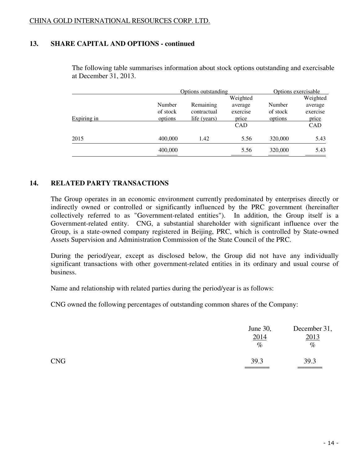# **13. SHARE CAPITAL AND OPTIONS - continued**

|             |          | Options outstanding |          | Options exercisable |          |
|-------------|----------|---------------------|----------|---------------------|----------|
|             |          |                     | Weighted |                     | Weighted |
|             | Number   | Remaining           | average  | Number              | average  |
|             | of stock | contractual         | exercise | of stock            | exercise |
| Expiring in | options  | life (years)        | price    | options             | price    |
|             |          |                     | CAD      |                     | CAD      |
| 2015        | 400,000  | 1.42                | 5.56     | 320,000             | 5.43     |
|             | 400,000  |                     | 5.56     | 320,000             | 5.43     |

 The following table summarises information about stock options outstanding and exercisable at December 31, 2013.

### **14. RELATED PARTY TRANSACTIONS**

 The Group operates in an economic environment currently predominated by enterprises directly or indirectly owned or controlled or significantly influenced by the PRC government (hereinafter collectively referred to as "Government-related entities"). In addition, the Group itself is a Government-related entity. CNG, a substantial shareholder with significant influence over the Group, is a state-owned company registered in Beijing, PRC, which is controlled by State-owned Assets Supervision and Administration Commission of the State Council of the PRC.

 During the period/year, except as disclosed below, the Group did not have any individually significant transactions with other government-related entities in its ordinary and usual course of business.

Name and relationship with related parties during the period/year is as follows:

CNG owned the following percentages of outstanding common shares of the Company:

|            | June 30,<br>2014<br>$\%$ | December 31,<br>2013<br>$\%$ |  |
|------------|--------------------------|------------------------------|--|
| <b>CNG</b> | 39.3                     | 39.3                         |  |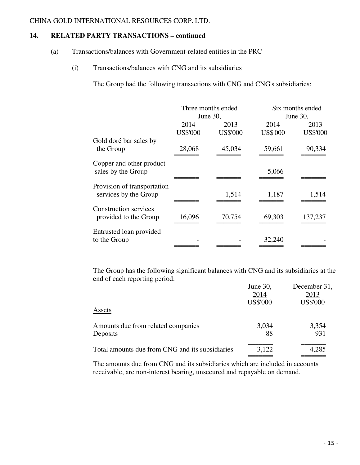# **14. RELATED PARTY TRANSACTIONS – continued**

- (a) Transactions/balances with Government-related entities in the PRC
	- (i) Transactions/balances with CNG and its subsidiaries

The Group had the following transactions with CNG and CNG's subsidiaries:

|                              | Three months ended |                 |                 | Six months ended |  |
|------------------------------|--------------------|-----------------|-----------------|------------------|--|
|                              |                    | June 30,        |                 | June 30,         |  |
|                              | 2014               | 2013            | 2014            | <u>2013</u>      |  |
|                              | <b>US\$'000</b>    | <b>US\$'000</b> | <b>US\$'000</b> | <b>US\$'000</b>  |  |
| Gold doré bar sales by       |                    |                 |                 |                  |  |
| the Group                    | 28,068             | 45,034          | 59,661          | 90,334           |  |
| Copper and other product     |                    |                 |                 |                  |  |
| sales by the Group           |                    |                 | 5,066           |                  |  |
| Provision of transportation  |                    |                 |                 |                  |  |
| services by the Group        |                    | 1,514           | 1,187           | 1,514            |  |
| <b>Construction services</b> |                    |                 |                 |                  |  |
| provided to the Group        | 16,096             | 70,754          | 69,303          | 137,237          |  |
| Entrusted loan provided      |                    |                 |                 |                  |  |
| to the Group                 |                    |                 | 32,240          |                  |  |

 The Group has the following significant balances with CNG and its subsidiaries at the end of each reporting period:

|                                                 | June 30,        | December 31,    |
|-------------------------------------------------|-----------------|-----------------|
|                                                 | 2014            | 2013            |
|                                                 | <b>US\$'000</b> | <b>US\$'000</b> |
| Assets                                          |                 |                 |
| Amounts due from related companies              | 3,034           | 3,354           |
| Deposits                                        | 88              | 931             |
| Total amounts due from CNG and its subsidiaries | 3,122           | 4,285           |
|                                                 |                 |                 |

 The amounts due from CNG and its subsidiaries which are included in accounts receivable, are non-interest bearing, unsecured and repayable on demand.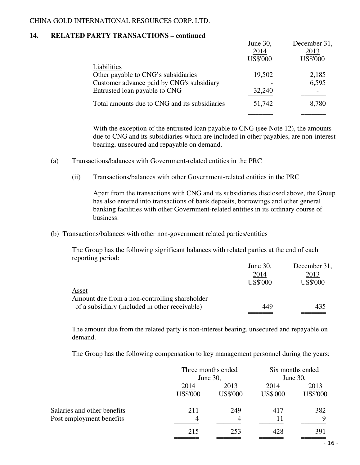# **14. RELATED PARTY TRANSACTIONS – continued**

|                                               | June 30,        | December 31,    |
|-----------------------------------------------|-----------------|-----------------|
|                                               | 2014            | 2013            |
|                                               | <b>US\$'000</b> | <b>US\$'000</b> |
| Liabilities                                   |                 |                 |
| Other payable to CNG's subsidiaries           | 19,502          | 2,185           |
| Customer advance paid by CNG's subsidiary     |                 | 6,595           |
| Entrusted loan payable to CNG                 | 32,240          |                 |
| Total amounts due to CNG and its subsidiaries | 51,742          | 8,780           |
|                                               |                 |                 |

With the exception of the entrusted loan payable to CNG (see Note 12), the amounts due to CNG and its subsidiaries which are included in other payables, are non-interest bearing, unsecured and repayable on demand.

- (a) Transactions/balances with Government-related entities in the PRC
	- (ii) Transactions/balances with other Government-related entities in the PRC

 Apart from the transactions with CNG and its subsidiaries disclosed above, the Group has also entered into transactions of bank deposits, borrowings and other general banking facilities with other Government-related entities in its ordinary course of business.

(b) Transactions/balances with other non-government related parties/entities

 The Group has the following significant balances with related parties at the end of each reporting period:

|                                                | June 30,        | December 31,    |
|------------------------------------------------|-----------------|-----------------|
|                                                | 2014            | 2013            |
|                                                | <b>US\$'000</b> | <b>US\$'000</b> |
| <u>Asset</u>                                   |                 |                 |
| Amount due from a non-controlling shareholder  |                 |                 |
| of a subsidiary (included in other receivable) | 449             | 435             |
|                                                |                 |                 |

 The amount due from the related party is non-interest bearing, unsecured and repayable on demand.

The Group has the following compensation to key management personnel during the years:

|                             |                 | Three months ended<br>June 30, |                 | Six months ended<br>June 30, |  |
|-----------------------------|-----------------|--------------------------------|-----------------|------------------------------|--|
|                             | 2014            | 2013                           | 2014            | 2013                         |  |
|                             | <b>US\$'000</b> | <b>US\$'000</b>                | <b>US\$'000</b> | <b>US\$'000</b>              |  |
| Salaries and other benefits | 211             | 249                            | 417             | 382                          |  |
| Post employment benefits    | 4               | 4                              | 11              | 9                            |  |
|                             | 215             | 253                            | 428             | 391                          |  |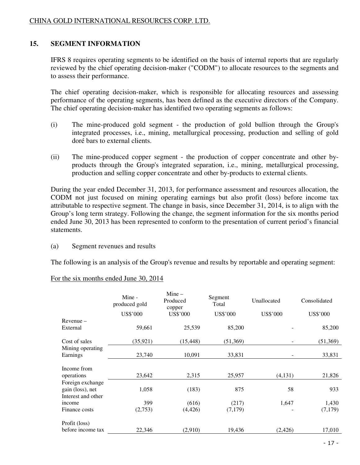# **15. SEGMENT INFORMATION**

IFRS 8 requires operating segments to be identified on the basis of internal reports that are regularly reviewed by the chief operating decision-maker ("CODM") to allocate resources to the segments and to assess their performance.

 The chief operating decision-maker, which is responsible for allocating resources and assessing performance of the operating segments, has been defined as the executive directors of the Company. The chief operating decision-maker has identified two operating segments as follows:

- (i) The mine-produced gold segment the production of gold bullion through the Group's integrated processes, i.e., mining, metallurgical processing, production and selling of gold doré bars to external clients.
- (ii) The mine-produced copper segment the production of copper concentrate and other byproducts through the Group's integrated separation, i.e., mining, metallurgical processing, production and selling copper concentrate and other by-products to external clients.

 During the year ended December 31, 2013, for performance assessment and resources allocation, the CODM not just focused on mining operating earnings but also profit (loss) before income tax attributable to respective segment. The change in basis, since December 31, 2014, is to align with the Group's long term strategy. Following the change, the segment information for the six months period ended June 30, 2013 has been represented to conform to the presentation of current period's financial statements.

(a) Segment revenues and results

The following is an analysis of the Group's revenue and results by reportable and operating segment:

|                                      | Mine -<br>produced gold<br><b>US\$'000</b> | $Mine -$<br>Produced<br>copper<br>US\$'000 | Segment<br>Total<br><b>US\$'000</b> | Unallocated<br><b>US\$'000</b> | Consolidated<br>US\$'000 |
|--------------------------------------|--------------------------------------------|--------------------------------------------|-------------------------------------|--------------------------------|--------------------------|
| $Revenue -$                          |                                            |                                            |                                     |                                |                          |
| External                             | 59,661                                     | 25,539                                     | 85,200                              |                                | 85,200                   |
| Cost of sales                        | (35, 921)                                  | (15, 448)                                  | (51,369)                            |                                | (51,369)                 |
| Mining operating<br>Earnings         | 23,740                                     | 10,091                                     | 33,831                              |                                | 33,831                   |
| Income from                          |                                            |                                            |                                     |                                |                          |
| operations                           | 23,642                                     | 2,315                                      | 25,957                              | (4,131)                        | 21,826                   |
| Foreign exchange<br>gain (loss), net | 1,058                                      | (183)                                      | 875                                 | 58                             | 933                      |
| Interest and other                   |                                            |                                            |                                     |                                |                          |
| income                               | 399                                        | (616)                                      | (217)                               | 1,647                          | 1,430                    |
| Finance costs                        | (2,753)                                    | (4,426)                                    | (7,179)                             |                                | (7,179)                  |
| Profit (loss)                        |                                            |                                            |                                     |                                |                          |
| before income tax                    | 22,346                                     | (2,910)                                    | 19,436                              | (2, 426)                       | 17,010                   |

### For the six months ended June 30, 2014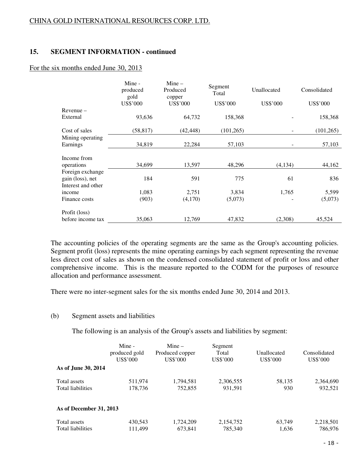# **15. SEGMENT INFORMATION - continued**

### For the six months ended June 30, 2013

|                                        | Mine -<br>produced<br>gold | $Mine -$<br>Produced<br>copper | Segment<br>Total | Unallocated     | Consolidated    |
|----------------------------------------|----------------------------|--------------------------------|------------------|-----------------|-----------------|
|                                        | <b>US\$'000</b>            | US\$'000                       | US\$'000         | <b>US\$'000</b> | <b>US\$'000</b> |
| $Re$ venue $-$                         |                            |                                |                  |                 |                 |
| External                               | 93,636                     | 64,732                         | 158,368          |                 | 158,368         |
| Cost of sales                          | (58, 817)                  | (42, 448)                      | (101, 265)       |                 | (101, 265)      |
| Mining operating                       |                            |                                |                  |                 |                 |
| Earnings                               | 34,819                     | 22,284                         | 57,103           |                 | 57,103          |
| Income from                            | 34,699                     | 13,597                         | 48,296           | (4, 134)        | 44,162          |
| operations<br>Foreign exchange         |                            |                                |                  |                 |                 |
| gain (loss), net<br>Interest and other | 184                        | 591                            | 775              | 61              | 836             |
| income                                 | 1,083                      | 2,751                          | 3,834            | 1,765           | 5,599           |
| Finance costs                          | (903)                      | (4,170)                        | (5,073)          |                 | (5,073)         |
| Profit (loss)                          |                            |                                |                  |                 |                 |
| before income tax                      | 35,063                     | 12.769                         | 47,832           | (2,308)         | 45,524          |

 The accounting policies of the operating segments are the same as the Group's accounting policies. Segment profit (loss) represents the mine operating earnings by each segment representing the revenue less direct cost of sales as shown on the condensed consolidated statement of profit or loss and other comprehensive income. This is the measure reported to the CODM for the purposes of resource allocation and performance assessment.

There were no inter-segment sales for the six months ended June 30, 2014 and 2013.

### (b) Segment assets and liabilities

The following is an analysis of the Group's assets and liabilities by segment:

|                                   | Mine -<br>produced gold<br>US\$'000 | $Mine -$<br>Produced copper<br>US\$'000 | Segment<br>Total<br>US\$'000 | Unallocated<br>US\$'000 | Consolidated<br>US\$'000 |
|-----------------------------------|-------------------------------------|-----------------------------------------|------------------------------|-------------------------|--------------------------|
| As of June 30, 2014               |                                     |                                         |                              |                         |                          |
| Total assets<br>Total liabilities | 511,974<br>178.736                  | 1,794,581<br>752,855                    | 2,306,555<br>931,591         | 58,135<br>930           | 2,364,690<br>932,521     |
| As of December 31, 2013           |                                     |                                         |                              |                         |                          |
| Total assets<br>Total liabilities | 430.543<br>111,499                  | 1,724,209<br>673,841                    | 2,154,752<br>785,340         | 63,749<br>1,636         | 2,218,501<br>786,976     |